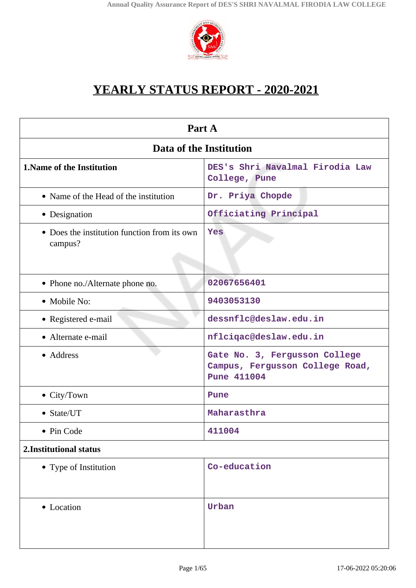

# **YEARLY STATUS REPORT - 2020-2021**

| Part A                                                  |                                                                                        |  |  |
|---------------------------------------------------------|----------------------------------------------------------------------------------------|--|--|
| Data of the Institution                                 |                                                                                        |  |  |
| <b>1. Name of the Institution</b>                       | DES's Shri Navalmal Firodia Law<br>College, Pune                                       |  |  |
| • Name of the Head of the institution                   | Dr. Priya Chopde                                                                       |  |  |
| • Designation                                           | Officiating Principal                                                                  |  |  |
| • Does the institution function from its own<br>campus? | Yes                                                                                    |  |  |
| • Phone no./Alternate phone no.                         | 02067656401                                                                            |  |  |
| • Mobile No:                                            | 9403053130                                                                             |  |  |
| • Registered e-mail                                     | dessnflc@deslaw.edu.in                                                                 |  |  |
| • Alternate e-mail                                      | nflciqac@deslaw.edu.in                                                                 |  |  |
| • Address                                               | Gate No. 3, Fergusson College<br>Campus, Fergusson College Road,<br><b>Pune 411004</b> |  |  |
| • City/Town                                             | Pune                                                                                   |  |  |
| • State/UT                                              | Maharasthra                                                                            |  |  |
| • Pin Code                                              | 411004                                                                                 |  |  |
| 2. Institutional status                                 |                                                                                        |  |  |
| • Type of Institution                                   | Co-education                                                                           |  |  |
| • Location                                              | Urban                                                                                  |  |  |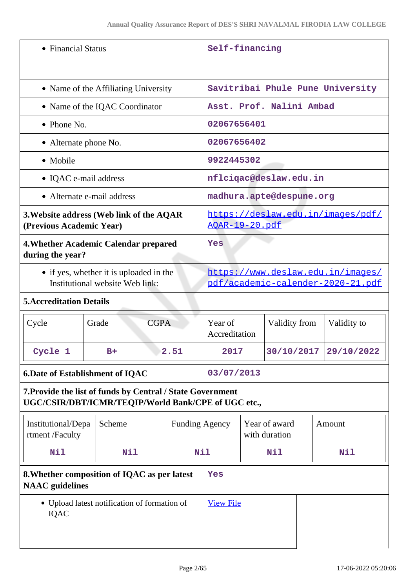| • Financial Status                                                                                                |                                              |                                                                        | Self-financing        |                                |  |                          |     |                                   |
|-------------------------------------------------------------------------------------------------------------------|----------------------------------------------|------------------------------------------------------------------------|-----------------------|--------------------------------|--|--------------------------|-----|-----------------------------------|
| • Name of the Affiliating University                                                                              |                                              | Savitribai Phule Pune University                                       |                       |                                |  |                          |     |                                   |
|                                                                                                                   | • Name of the IQAC Coordinator               |                                                                        |                       |                                |  | Asst. Prof. Nalini Ambad |     |                                   |
| • Phone No.                                                                                                       |                                              |                                                                        |                       | 02067656401                    |  |                          |     |                                   |
| • Alternate phone No.                                                                                             |                                              | 02067656402                                                            |                       |                                |  |                          |     |                                   |
| • Mobile                                                                                                          |                                              |                                                                        |                       | 9922445302                     |  |                          |     |                                   |
| • IQAC e-mail address                                                                                             |                                              |                                                                        |                       | nflciqac@deslaw.edu.in         |  |                          |     |                                   |
|                                                                                                                   | • Alternate e-mail address                   |                                                                        |                       |                                |  | madhura.apte@despune.org |     |                                   |
| 3. Website address (Web link of the AQAR<br>(Previous Academic Year)                                              |                                              |                                                                        |                       | <u> AQAR-19-20.pdf</u>         |  |                          |     | https://deslaw.edu.in/images/pdf/ |
| 4. Whether Academic Calendar prepared<br>during the year?                                                         |                                              | Yes                                                                    |                       |                                |  |                          |     |                                   |
| • if yes, whether it is uploaded in the<br>Institutional website Web link:                                        |                                              | https://www.deslaw.edu.in/images/<br>pdf/academic-calender-2020-21.pdf |                       |                                |  |                          |     |                                   |
| <b>5. Accreditation Details</b>                                                                                   |                                              |                                                                        |                       |                                |  |                          |     |                                   |
| Cycle                                                                                                             | Grade                                        | <b>CGPA</b>                                                            |                       | Year of<br>Accreditation       |  | Validity from            |     | Validity to                       |
| Cycle 1                                                                                                           | $B+$                                         | 2.51                                                                   |                       | 2017                           |  | 30/10/2017               |     | 29/10/2022                        |
|                                                                                                                   | <b>6. Date of Establishment of IQAC</b>      |                                                                        | 03/07/2013            |                                |  |                          |     |                                   |
| 7. Provide the list of funds by Central / State Government<br>UGC/CSIR/DBT/ICMR/TEQIP/World Bank/CPE of UGC etc., |                                              |                                                                        |                       |                                |  |                          |     |                                   |
| Institutional/Depa<br>rtment /Faculty                                                                             | Scheme                                       |                                                                        | <b>Funding Agency</b> | Year of award<br>with duration |  |                          |     | Amount                            |
| Nil                                                                                                               | Nil                                          |                                                                        | Nil                   | Nil                            |  |                          | Nil |                                   |
| 8. Whether composition of IQAC as per latest<br><b>NAAC</b> guidelines                                            |                                              | Yes                                                                    |                       |                                |  |                          |     |                                   |
| <b>IQAC</b>                                                                                                       | • Upload latest notification of formation of |                                                                        |                       | <b>View File</b>               |  |                          |     |                                   |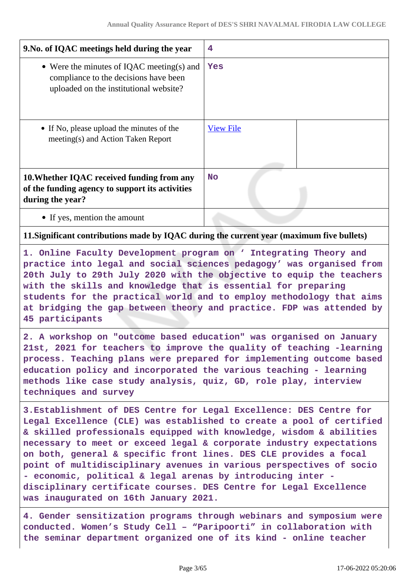| 9. No. of IQAC meetings held during the year                                                                                                                                                                                                                                                                                                                                                                                                                                                                                                                                                                       | 4                |  |
|--------------------------------------------------------------------------------------------------------------------------------------------------------------------------------------------------------------------------------------------------------------------------------------------------------------------------------------------------------------------------------------------------------------------------------------------------------------------------------------------------------------------------------------------------------------------------------------------------------------------|------------------|--|
| • Were the minutes of IQAC meeting(s) and<br>compliance to the decisions have been<br>uploaded on the institutional website?                                                                                                                                                                                                                                                                                                                                                                                                                                                                                       | Yes              |  |
| • If No, please upload the minutes of the<br>meeting(s) and Action Taken Report                                                                                                                                                                                                                                                                                                                                                                                                                                                                                                                                    | <b>View File</b> |  |
| 10. Whether IQAC received funding from any<br>of the funding agency to support its activities<br>during the year?                                                                                                                                                                                                                                                                                                                                                                                                                                                                                                  | <b>No</b>        |  |
| • If yes, mention the amount                                                                                                                                                                                                                                                                                                                                                                                                                                                                                                                                                                                       |                  |  |
| 11. Significant contributions made by IQAC during the current year (maximum five bullets)                                                                                                                                                                                                                                                                                                                                                                                                                                                                                                                          |                  |  |
| 1. Online Faculty Development program on ' Integrating Theory and<br>practice into legal and social sciences pedagogy' was organised from<br>20th July to 29th July 2020 with the objective to equip the teachers<br>with the skills and knowledge that is essential for preparing<br>students for the practical world and to employ methodology that aims<br>at bridging the gap between theory and practice. FDP was attended by<br>45 participants                                                                                                                                                              |                  |  |
| 2. A workshop on "outcome based education" was organised on January<br>21st, 2021 for teachers to improve the quality of teaching -learning<br>process. Teaching plans were prepared for implementing outcome based<br>education policy and incorporated the various teaching - learning<br>methods like case study analysis, quiz, GD, role play, interview<br>techniques and survey                                                                                                                                                                                                                              |                  |  |
| 3. Establishment of DES Centre for Legal Excellence: DES Centre for<br>Legal Excellence (CLE) was established to create a pool of certified<br>& skilled professionals equipped with knowledge, wisdom & abilities<br>necessary to meet or exceed legal & corporate industry expectations<br>on both, general & specific front lines. DES CLE provides a focal<br>point of multidisciplinary avenues in various perspectives of socio<br>- economic, political & legal arenas by introducing inter -<br>disciplinary certificate courses. DES Centre for Legal Excellence<br>was inaugurated on 16th January 2021. |                  |  |
| 4. Gender sensitization programs through webinars and symposium were<br>conducted. Women's Study Cell - "Paripoorti" in collaboration with                                                                                                                                                                                                                                                                                                                                                                                                                                                                         |                  |  |

**the seminar department organized one of its kind - online teacher**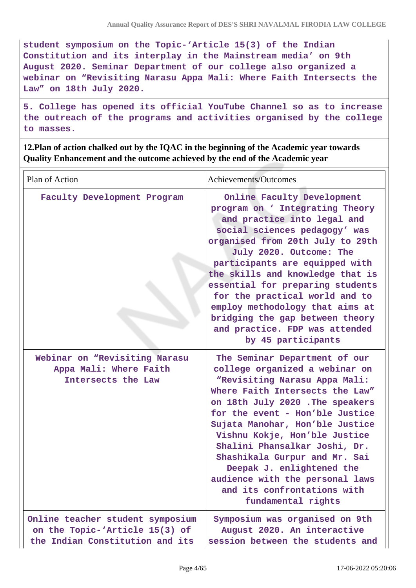**student symposium on the Topic-'Article 15(3) of the Indian Constitution and its interplay in the Mainstream media' on 9th August 2020. Seminar Department of our college also organized a webinar on "Revisiting Narasu Appa Mali: Where Faith Intersects the Law" on 18th July 2020.**

**5. College has opened its official YouTube Channel so as to increase the outreach of the programs and activities organised by the college to masses.**

**12.Plan of action chalked out by the IQAC in the beginning of the Academic year towards Quality Enhancement and the outcome achieved by the end of the Academic year**

| Plan of Action                                                                                        | Achievements/Outcomes                                                                                                                                                                                                                                                                                                                                                                                                                                                  |  |  |  |
|-------------------------------------------------------------------------------------------------------|------------------------------------------------------------------------------------------------------------------------------------------------------------------------------------------------------------------------------------------------------------------------------------------------------------------------------------------------------------------------------------------------------------------------------------------------------------------------|--|--|--|
| Faculty Development Program                                                                           | Online Faculty Development<br>program on ' Integrating Theory<br>and practice into legal and<br>social sciences pedagogy' was<br>organised from 20th July to 29th<br>July 2020. Outcome: The<br>participants are equipped with<br>the skills and knowledge that is<br>essential for preparing students<br>for the practical world and to<br>employ methodology that aims at<br>bridging the gap between theory<br>and practice. FDP was attended<br>by 45 participants |  |  |  |
| Webinar on "Revisiting Narasu<br>Appa Mali: Where Faith<br>Intersects the Law                         | The Seminar Department of our<br>college organized a webinar on<br>"Revisiting Narasu Appa Mali:<br>Where Faith Intersects the Law"<br>on 18th July 2020. The speakers<br>for the event - Hon'ble Justice<br>Sujata Manohar, Hon'ble Justice<br>Vishnu Kokje, Hon'ble Justice<br>Shalini Phansalkar Joshi, Dr.<br>Shashikala Gurpur and Mr. Sai<br>Deepak J. enlightened the<br>audience with the personal laws<br>and its confrontations with<br>fundamental rights   |  |  |  |
| Online teacher student symposium<br>on the Topic-'Article 15(3) of<br>the Indian Constitution and its | Symposium was organised on 9th<br>August 2020. An interactive<br>session between the students and                                                                                                                                                                                                                                                                                                                                                                      |  |  |  |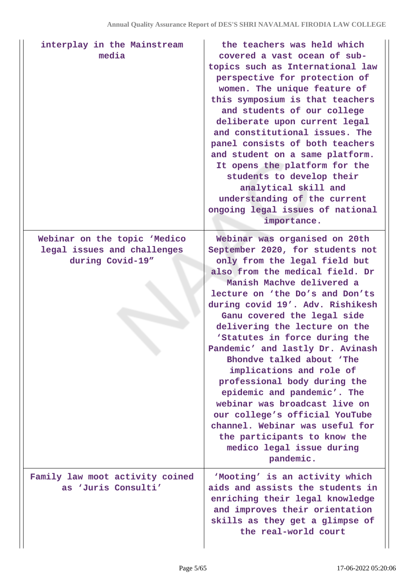| interplay in the Mainstream<br>media                                            | the teachers was held which<br>covered a vast ocean of sub-<br>topics such as International law<br>perspective for protection of<br>women. The unique feature of<br>this symposium is that teachers<br>and students of our college<br>deliberate upon current legal<br>and constitutional issues. The<br>panel consists of both teachers<br>and student on a same platform.<br>It opens the platform for the<br>students to develop their<br>analytical skill and<br>understanding of the current<br>ongoing legal issues of national<br>importance.                                                                                                                                   |
|---------------------------------------------------------------------------------|----------------------------------------------------------------------------------------------------------------------------------------------------------------------------------------------------------------------------------------------------------------------------------------------------------------------------------------------------------------------------------------------------------------------------------------------------------------------------------------------------------------------------------------------------------------------------------------------------------------------------------------------------------------------------------------|
| Webinar on the topic 'Medico<br>legal issues and challenges<br>during Covid-19" | Webinar was organised on 20th<br>September 2020, for students not<br>only from the legal field but<br>also from the medical field. Dr<br>Manish Machve delivered a<br>lecture on 'the Do's and Don'ts<br>during covid 19'. Adv. Rishikesh<br>Ganu covered the legal side<br>delivering the lecture on the<br>'Statutes in force during the<br>Pandemic' and lastly Dr. Avinash<br>Bhondve talked about 'The<br>implications and role of<br>professional body during the<br>epidemic and pandemic'. The<br>webinar was broadcast live on<br>our college's official YouTube<br>channel. Webinar was useful for<br>the participants to know the<br>medico legal issue during<br>pandemic. |
| Family law moot activity coined<br>as 'Juris Consulti'                          | 'Mooting' is an activity which<br>aids and assists the students in<br>enriching their legal knowledge<br>and improves their orientation<br>skills as they get a glimpse of<br>the real-world court                                                                                                                                                                                                                                                                                                                                                                                                                                                                                     |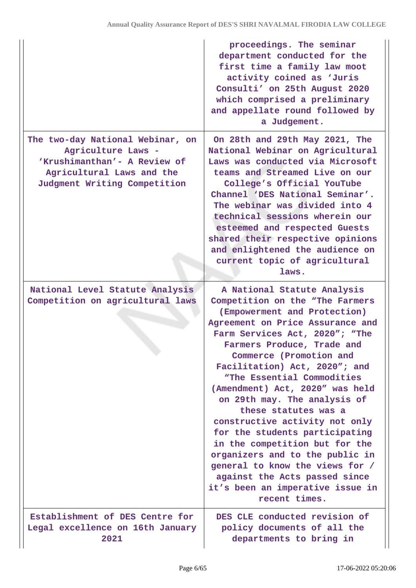|                                                                                                                                                     | proceedings. The seminar<br>department conducted for the<br>first time a family law moot<br>activity coined as 'Juris<br>Consulti' on 25th August 2020<br>which comprised a preliminary<br>and appellate round followed by<br>a Judgement.                                                                                                                                                                                                                                                                                                                                                                                                                |
|-----------------------------------------------------------------------------------------------------------------------------------------------------|-----------------------------------------------------------------------------------------------------------------------------------------------------------------------------------------------------------------------------------------------------------------------------------------------------------------------------------------------------------------------------------------------------------------------------------------------------------------------------------------------------------------------------------------------------------------------------------------------------------------------------------------------------------|
| The two-day National Webinar, on<br>Agriculture Laws -<br>'Krushimanthan'- A Review of<br>Agricultural Laws and the<br>Judgment Writing Competition | On 28th and 29th May 2021, The<br>National Webinar on Agricultural<br>Laws was conducted via Microsoft<br>teams and Streamed Live on our<br>College's Official YouTube<br>Channel 'DES National Seminar'.<br>The webinar was divided into 4<br>technical sessions wherein our<br>esteemed and respected Guests<br>shared their respective opinions<br>and enlightened the audience on<br>current topic of agricultural<br>laws.                                                                                                                                                                                                                           |
| National Level Statute Analysis<br>Competition on agricultural laws                                                                                 | A National Statute Analysis<br>Competition on the "The Farmers<br>(Empowerment and Protection)<br>Agreement on Price Assurance and<br>Farm Services Act, 2020"; "The<br>Farmers Produce, Trade and<br>Commerce (Promotion and<br>Facilitation) Act, 2020"; and<br>"The Essential Commodities<br>(Amendment) Act, 2020" was held<br>on 29th may. The analysis of<br>these statutes was a<br>constructive activity not only<br>for the students participating<br>in the competition but for the<br>organizers and to the public in<br>general to know the views for /<br>against the Acts passed since<br>it's been an imperative issue in<br>recent times. |
| Establishment of DES Centre for<br>Legal excellence on 16th January<br>2021                                                                         | DES CLE conducted revision of<br>policy documents of all the<br>departments to bring in                                                                                                                                                                                                                                                                                                                                                                                                                                                                                                                                                                   |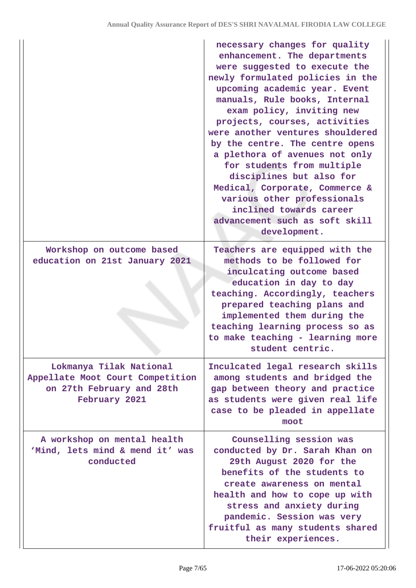|                                                                                                           | necessary changes for quality<br>enhancement. The departments<br>were suggested to execute the<br>newly formulated policies in the<br>upcoming academic year. Event<br>manuals, Rule books, Internal<br>exam policy, inviting new<br>projects, courses, activities<br>were another ventures shouldered<br>by the centre. The centre opens<br>a plethora of avenues not only<br>for students from multiple<br>disciplines but also for<br>Medical, Corporate, Commerce &<br>various other professionals<br>inclined towards career<br>advancement such as soft skill<br>development. |
|-----------------------------------------------------------------------------------------------------------|-------------------------------------------------------------------------------------------------------------------------------------------------------------------------------------------------------------------------------------------------------------------------------------------------------------------------------------------------------------------------------------------------------------------------------------------------------------------------------------------------------------------------------------------------------------------------------------|
| Workshop on outcome based<br>education on 21st January 2021                                               | Teachers are equipped with the<br>methods to be followed for<br>inculcating outcome based<br>education in day to day<br>teaching. Accordingly, teachers<br>prepared teaching plans and<br>implemented them during the<br>teaching learning process so as<br>to make teaching - learning more<br>student centric.                                                                                                                                                                                                                                                                    |
| Lokmanya Tilak National<br>Appellate Moot Court Competition<br>on 27th February and 28th<br>February 2021 | Inculcated legal research skills<br>among students and bridged the<br>gap between theory and practice<br>as students were given real life<br>case to be pleaded in appellate<br>moot                                                                                                                                                                                                                                                                                                                                                                                                |
| A workshop on mental health<br>'Mind, lets mind & mend it' was<br>conducted                               | Counselling session was<br>conducted by Dr. Sarah Khan on<br>29th August 2020 for the<br>benefits of the students to<br>create awareness on mental<br>health and how to cope up with<br>stress and anxiety during<br>pandemic. Session was very<br>fruitful as many students shared<br>their experiences.                                                                                                                                                                                                                                                                           |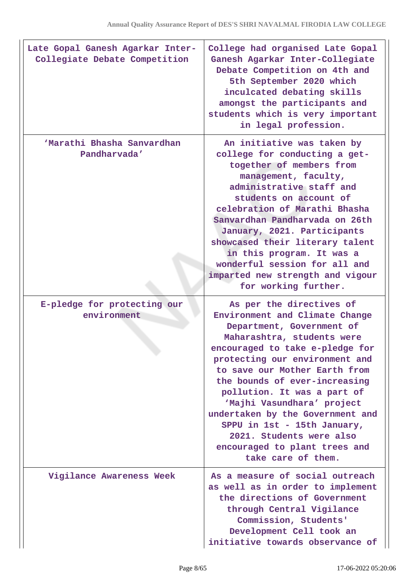| Late Gopal Ganesh Agarkar Inter-<br>Collegiate Debate Competition | College had organised Late Gopal<br>Ganesh Agarkar Inter-Collegiate<br>Debate Competition on 4th and<br>5th September 2020 which<br>inculcated debating skills<br>amongst the participants and<br>students which is very important<br>in legal profession.                                                                                                                                                                                                                      |
|-------------------------------------------------------------------|---------------------------------------------------------------------------------------------------------------------------------------------------------------------------------------------------------------------------------------------------------------------------------------------------------------------------------------------------------------------------------------------------------------------------------------------------------------------------------|
| 'Marathi Bhasha Sanvardhan<br>Pandharvada'                        | An initiative was taken by<br>college for conducting a get-<br>together of members from<br>management, faculty,<br>administrative staff and<br>students on account of<br>celebration of Marathi Bhasha<br>Sanvardhan Pandharvada on 26th<br>January, 2021. Participants<br>showcased their literary talent<br>in this program. It was a<br>wonderful session for all and<br>imparted new strength and vigour<br>for working further.                                            |
| E-pledge for protecting our<br>environment                        | As per the directives of<br>Environment and Climate Change<br>Department, Government of<br>Maharashtra, students were<br>encouraged to take e-pledge for<br>protecting our environment and<br>to save our Mother Earth from<br>the bounds of ever-increasing<br>pollution. It was a part of<br>'Majhi Vasundhara' project<br>undertaken by the Government and<br>SPPU in 1st - 15th January,<br>2021. Students were also<br>encouraged to plant trees and<br>take care of them. |
| Vigilance Awareness Week                                          | As a measure of social outreach<br>as well as in order to implement<br>the directions of Government<br>through Central Vigilance<br>Commission, Students'<br>Development Cell took an<br>initiative towards observance of                                                                                                                                                                                                                                                       |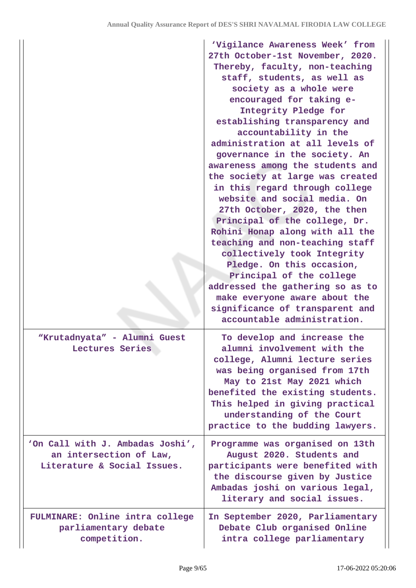|                                                                                            | 'Vigilance Awareness Week' from<br>27th October-1st November, 2020.<br>Thereby, faculty, non-teaching<br>staff, students, as well as<br>society as a whole were<br>encouraged for taking e-<br>Integrity Pledge for<br>establishing transparency and<br>accountability in the<br>administration at all levels of<br>governance in the society. An<br>awareness among the students and<br>the society at large was created<br>in this regard through college<br>website and social media. On<br>27th October, 2020, the then<br>Principal of the college, Dr.<br>Rohini Honap along with all the<br>teaching and non-teaching staff<br>collectively took Integrity<br>Pledge. On this occasion,<br>Principal of the college<br>addressed the gathering so as to<br>make everyone aware about the |
|--------------------------------------------------------------------------------------------|-------------------------------------------------------------------------------------------------------------------------------------------------------------------------------------------------------------------------------------------------------------------------------------------------------------------------------------------------------------------------------------------------------------------------------------------------------------------------------------------------------------------------------------------------------------------------------------------------------------------------------------------------------------------------------------------------------------------------------------------------------------------------------------------------|
|                                                                                            | significance of transparent and<br>accountable administration.                                                                                                                                                                                                                                                                                                                                                                                                                                                                                                                                                                                                                                                                                                                                  |
| "Krutadnyata" - Alumni Guest<br>Lectures Series                                            | To develop and increase the<br>alumni involvement with the<br>college, Alumni lecture series<br>was being organised from 17th<br>May to 21st May 2021 which<br>benefited the existing students.<br>This helped in giving practical<br>understanding of the Court<br>practice to the budding lawyers.                                                                                                                                                                                                                                                                                                                                                                                                                                                                                            |
| 'On Call with J. Ambadas Joshi',<br>an intersection of Law,<br>Literature & Social Issues. | Programme was organised on 13th<br>August 2020. Students and<br>participants were benefited with<br>the discourse given by Justice<br>Ambadas joshi on various legal,<br>literary and social issues.                                                                                                                                                                                                                                                                                                                                                                                                                                                                                                                                                                                            |
| FULMINARE: Online intra college<br>parliamentary debate<br>competition.                    | In September 2020, Parliamentary<br>Debate Club organised Online<br>intra college parliamentary                                                                                                                                                                                                                                                                                                                                                                                                                                                                                                                                                                                                                                                                                                 |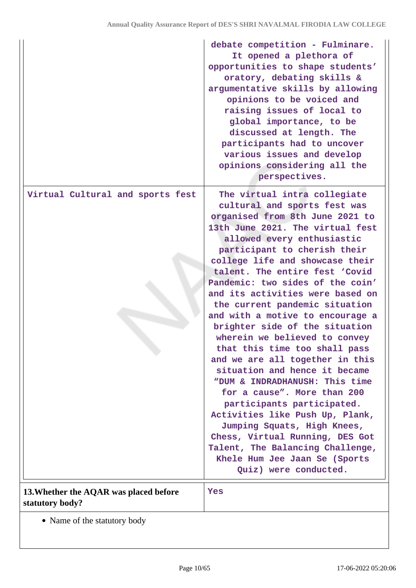|                                                           | debate competition - Fulminare.<br>It opened a plethora of<br>opportunities to shape students'<br>oratory, debating skills &<br>argumentative skills by allowing<br>opinions to be voiced and<br>raising issues of local to<br>global importance, to be<br>discussed at length. The<br>participants had to uncover<br>various issues and develop<br>opinions considering all the<br>perspectives.                                                                                                                                                                                                                                                                                                                                                                                                                                                                                              |
|-----------------------------------------------------------|------------------------------------------------------------------------------------------------------------------------------------------------------------------------------------------------------------------------------------------------------------------------------------------------------------------------------------------------------------------------------------------------------------------------------------------------------------------------------------------------------------------------------------------------------------------------------------------------------------------------------------------------------------------------------------------------------------------------------------------------------------------------------------------------------------------------------------------------------------------------------------------------|
| Virtual Cultural and sports fest                          | The virtual intra collegiate<br>cultural and sports fest was<br>organised from 8th June 2021 to<br>13th June 2021. The virtual fest<br>allowed every enthusiastic<br>participant to cherish their<br>college life and showcase their<br>talent. The entire fest 'Covid<br>Pandemic: two sides of the coin'<br>and its activities were based on<br>the current pandemic situation<br>and with a motive to encourage a<br>brighter side of the situation<br>wherein we believed to convey<br>that this time too shall pass<br>and we are all together in this<br>situation and hence it became<br>"DUM & INDRADHANUSH: This time<br>for a cause". More than 200<br>participants participated.<br>Activities like Push Up, Plank,<br>Jumping Squats, High Knees,<br>Chess, Virtual Running, DES Got<br>Talent, The Balancing Challenge,<br>Khele Hum Jee Jaan Se (Sports<br>Quiz) were conducted. |
| 13. Whether the AQAR was placed before<br>statutory body? | Yes                                                                                                                                                                                                                                                                                                                                                                                                                                                                                                                                                                                                                                                                                                                                                                                                                                                                                            |

• Name of the statutory body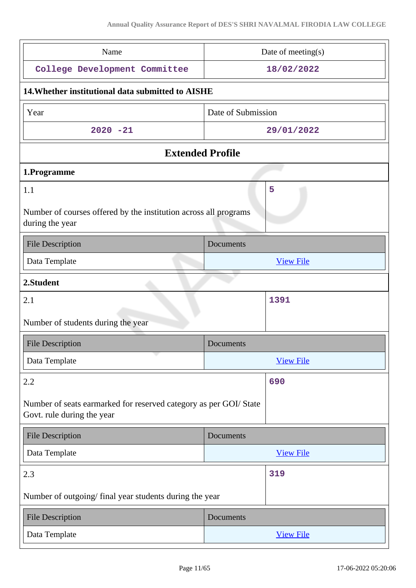| Name                                                                                           | Date of meeting(s) |  |  |  |
|------------------------------------------------------------------------------------------------|--------------------|--|--|--|
| College Development Committee                                                                  | 18/02/2022         |  |  |  |
| 14. Whether institutional data submitted to AISHE                                              |                    |  |  |  |
| Year                                                                                           | Date of Submission |  |  |  |
| $2020 - 21$                                                                                    | 29/01/2022         |  |  |  |
| <b>Extended Profile</b>                                                                        |                    |  |  |  |
| 1.Programme                                                                                    |                    |  |  |  |
| 1.1<br>Number of courses offered by the institution across all programs                        | 5                  |  |  |  |
| during the year                                                                                |                    |  |  |  |
| <b>File Description</b>                                                                        | Documents          |  |  |  |
| Data Template                                                                                  | <b>View File</b>   |  |  |  |
| 2.Student                                                                                      |                    |  |  |  |
| 2.1                                                                                            | 1391               |  |  |  |
| Number of students during the year                                                             |                    |  |  |  |
| <b>File Description</b>                                                                        | Documents          |  |  |  |
| u,<br>Data Template                                                                            | <b>View File</b>   |  |  |  |
| 2.2                                                                                            | 690                |  |  |  |
| Number of seats earmarked for reserved category as per GOI/State<br>Govt. rule during the year |                    |  |  |  |
| <b>File Description</b>                                                                        | Documents          |  |  |  |
| Data Template                                                                                  | <b>View File</b>   |  |  |  |
| 2.3                                                                                            | 319                |  |  |  |
| Number of outgoing/final year students during the year                                         |                    |  |  |  |
| <b>File Description</b>                                                                        | Documents          |  |  |  |
| Data Template                                                                                  | <b>View File</b>   |  |  |  |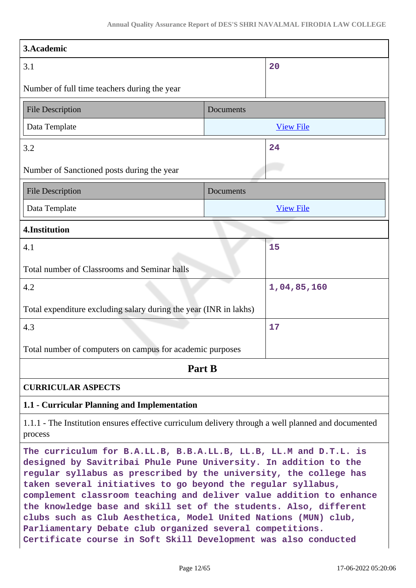| 3.Academic                                                                                                                                                                                                                                                                                                                                                                                                                                                                                                                                                                                                                |           |                  |  |
|---------------------------------------------------------------------------------------------------------------------------------------------------------------------------------------------------------------------------------------------------------------------------------------------------------------------------------------------------------------------------------------------------------------------------------------------------------------------------------------------------------------------------------------------------------------------------------------------------------------------------|-----------|------------------|--|
| 3.1                                                                                                                                                                                                                                                                                                                                                                                                                                                                                                                                                                                                                       |           | 20               |  |
| Number of full time teachers during the year                                                                                                                                                                                                                                                                                                                                                                                                                                                                                                                                                                              |           |                  |  |
| <b>File Description</b>                                                                                                                                                                                                                                                                                                                                                                                                                                                                                                                                                                                                   | Documents |                  |  |
| Data Template                                                                                                                                                                                                                                                                                                                                                                                                                                                                                                                                                                                                             |           | <b>View File</b> |  |
| 3.2                                                                                                                                                                                                                                                                                                                                                                                                                                                                                                                                                                                                                       |           | 24               |  |
| Number of Sanctioned posts during the year                                                                                                                                                                                                                                                                                                                                                                                                                                                                                                                                                                                |           |                  |  |
| <b>File Description</b>                                                                                                                                                                                                                                                                                                                                                                                                                                                                                                                                                                                                   | Documents |                  |  |
| Data Template                                                                                                                                                                                                                                                                                                                                                                                                                                                                                                                                                                                                             |           | <b>View File</b> |  |
| 4.Institution                                                                                                                                                                                                                                                                                                                                                                                                                                                                                                                                                                                                             |           |                  |  |
| 4.1                                                                                                                                                                                                                                                                                                                                                                                                                                                                                                                                                                                                                       |           | 15               |  |
| Total number of Classrooms and Seminar halls                                                                                                                                                                                                                                                                                                                                                                                                                                                                                                                                                                              |           |                  |  |
| 4.2                                                                                                                                                                                                                                                                                                                                                                                                                                                                                                                                                                                                                       |           | 1,04,85,160      |  |
| Total expenditure excluding salary during the year (INR in lakhs)                                                                                                                                                                                                                                                                                                                                                                                                                                                                                                                                                         |           |                  |  |
| 4.3                                                                                                                                                                                                                                                                                                                                                                                                                                                                                                                                                                                                                       |           | 17               |  |
| Total number of computers on campus for academic purposes                                                                                                                                                                                                                                                                                                                                                                                                                                                                                                                                                                 |           |                  |  |
| Part B                                                                                                                                                                                                                                                                                                                                                                                                                                                                                                                                                                                                                    |           |                  |  |
| <b>CURRICULAR ASPECTS</b>                                                                                                                                                                                                                                                                                                                                                                                                                                                                                                                                                                                                 |           |                  |  |
| 1.1 - Curricular Planning and Implementation                                                                                                                                                                                                                                                                                                                                                                                                                                                                                                                                                                              |           |                  |  |
| 1.1.1 - The Institution ensures effective curriculum delivery through a well planned and documented<br>process                                                                                                                                                                                                                                                                                                                                                                                                                                                                                                            |           |                  |  |
| The curriculum for B.A.LL.B, B.B.A.LL.B, LL.B, LL.M and D.T.L. is<br>designed by Savitribai Phule Pune University. In addition to the<br>regular syllabus as prescribed by the university, the college has<br>taken several initiatives to go beyond the regular syllabus,<br>complement classroom teaching and deliver value addition to enhance<br>the knowledge base and skill set of the students. Also, different<br>clubs such as Club Aesthetica, Model United Nations (MUN) club,<br>Parliamentary Debate club organized several competitions.<br>Certificate course in Soft Skill Development was also conducted |           |                  |  |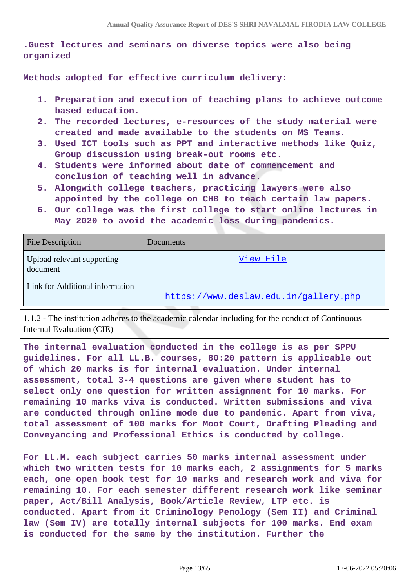**.Guest lectures and seminars on diverse topics were also being organized**

**Methods adopted for effective curriculum delivery:**

- **1. Preparation and execution of teaching plans to achieve outcome based education.**
- **2. The recorded lectures, e-resources of the study material were created and made available to the students on MS Teams.**
- **3. Used ICT tools such as PPT and interactive methods like Quiz, Group discussion using break-out rooms etc.**
- **4. Students were informed about date of commencement and conclusion of teaching well in advance.**
- **5. Alongwith college teachers, practicing lawyers were also appointed by the college on CHB to teach certain law papers.**
- **6. Our college was the first college to start online lectures in May 2020 to avoid the academic loss during pandemics.**

| <b>File Description</b>                | Documents                             |
|----------------------------------------|---------------------------------------|
| Upload relevant supporting<br>document | View File                             |
| Link for Additional information        | https://www.deslaw.edu.in/gallery.php |

1.1.2 - The institution adheres to the academic calendar including for the conduct of Continuous Internal Evaluation (CIE)

**The internal evaluation conducted in the college is as per SPPU guidelines. For all LL.B. courses, 80:20 pattern is applicable out of which 20 marks is for internal evaluation. Under internal assessment, total 3-4 questions are given where student has to select only one question for written assignment for 10 marks. For remaining 10 marks viva is conducted. Written submissions and viva are conducted through online mode due to pandemic. Apart from viva, total assessment of 100 marks for Moot Court, Drafting Pleading and Conveyancing and Professional Ethics is conducted by college.**

**For LL.M. each subject carries 50 marks internal assessment under which two written tests for 10 marks each, 2 assignments for 5 marks each, one open book test for 10 marks and research work and viva for remaining 10. For each semester different research work like seminar paper, Act/Bill Analysis, Book/Article Review, LTP etc. is conducted. Apart from it Criminology Penology (Sem II) and Criminal law (Sem IV) are totally internal subjects for 100 marks. End exam is conducted for the same by the institution. Further the**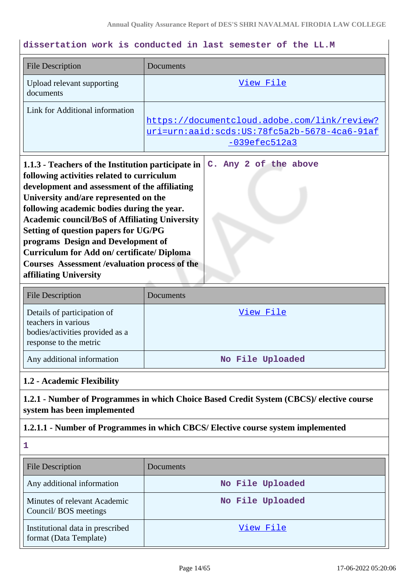# **dissertation work is conducted in last semester of the LL.M**

| <b>File Description</b>                                                                                                                                                                                                                                                                                                                                                                                                                                                                      | Documents                                                                                                       |
|----------------------------------------------------------------------------------------------------------------------------------------------------------------------------------------------------------------------------------------------------------------------------------------------------------------------------------------------------------------------------------------------------------------------------------------------------------------------------------------------|-----------------------------------------------------------------------------------------------------------------|
| Upload relevant supporting<br>documents                                                                                                                                                                                                                                                                                                                                                                                                                                                      | View File                                                                                                       |
| Link for Additional information                                                                                                                                                                                                                                                                                                                                                                                                                                                              | https://documentcloud.adobe.com/link/review?<br>uri=urn:aaid:scds:US:78fc5a2b-5678-4ca6-91af<br>$-039efec512a3$ |
| 1.1.3 - Teachers of the Institution participate in<br>following activities related to curriculum<br>development and assessment of the affiliating<br>University and/are represented on the<br>following academic bodies during the year.<br><b>Academic council/BoS of Affiliating University</b><br>Setting of question papers for UG/PG<br>programs Design and Development of<br><b>Curriculum for Add on/certificate/Diploma</b><br><b>Courses Assessment / evaluation process of the</b> | C. Any 2 of the above                                                                                           |

| <b>File Description</b>                                                                                         | Documents        |
|-----------------------------------------------------------------------------------------------------------------|------------------|
| Details of participation of<br>teachers in various<br>bodies/activities provided as a<br>response to the metric | View File        |
| Any additional information                                                                                      | No File Uploaded |

#### **1.2 - Academic Flexibility**

**affiliating University**

**1.2.1 - Number of Programmes in which Choice Based Credit System (CBCS)/ elective course system has been implemented**

### **1.2.1.1 - Number of Programmes in which CBCS/ Elective course system implemented**

**1**

| <b>File Description</b>                                    | <b>Documents</b> |
|------------------------------------------------------------|------------------|
| Any additional information                                 | No File Uploaded |
| Minutes of relevant Academic<br>Council/BOS meetings       | No File Uploaded |
| Institutional data in prescribed<br>format (Data Template) | View File        |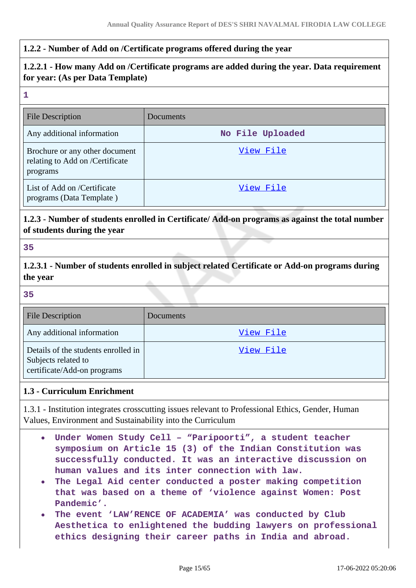### **1.2.2 - Number of Add on /Certificate programs offered during the year**

# **1.2.2.1 - How many Add on /Certificate programs are added during the year. Data requirement for year: (As per Data Template) 1** File Description Documents Any additional information **No File Uploaded** [View File](https://assessmentonline.naac.gov.in/storage/app/public/aqar/16522/16522_7_11.pdf?1655466604) Brochure or any other document relating to Add on /Certificate programs List of Add on /Certificate [View File](https://assessmentonline.naac.gov.in/storage/app/public/aqar/16522/16522_7_12.xlsx?1655466604) programs (Data Template ) **1.2.3 - Number of students enrolled in Certificate/ Add-on programs as against the total number of students during the year 35 1.2.3.1 - Number of students enrolled in subject related Certificate or Add-on programs during the year 35** File Description Documents Any additional information and the Contract of Contract of [View File](https://assessmentonline.naac.gov.in/storage/app/public/aqar/16522/16522_8_13.pdf?1655466604) Details of the students enrolled in [View File](https://assessmentonline.naac.gov.in/storage/app/public/aqar/16522/16522_8_14.xlsx?1655466604) Subjects related to certificate/Add-on programs **1.3 - Curriculum Enrichment** 1.3.1 - Institution integrates crosscutting issues relevant to Professional Ethics, Gender, Human Values, Environment and Sustainability into the Curriculum **Under Women Study Cell – "Paripoorti", a student teacher**  $\bullet$ **symposium on Article 15 (3) of the Indian Constitution was successfully conducted. It was an interactive discussion on human values and its inter connection with law. The Legal Aid center conducted a poster making competition**  $\bullet$

- **that was based on a theme of 'violence against Women: Post Pandemic'.**
- **The event 'LAW'RENCE OF ACADEMIA' was conducted by Club**  $\bullet$ **Aesthetica to enlightened the budding lawyers on professional ethics designing their career paths in India and abroad.**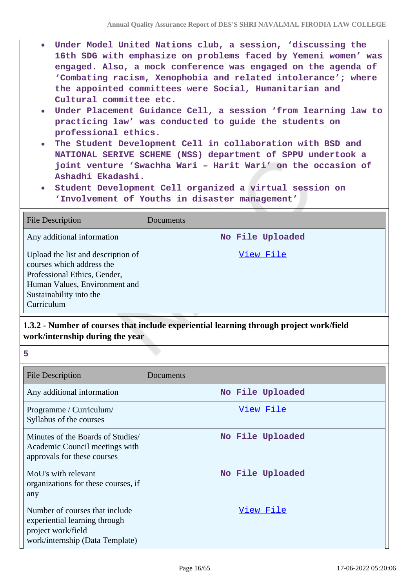- **Under Model United Nations club, a session, 'discussing the 16th SDG with emphasize on problems faced by Yemeni women' was engaged. Also, a mock conference was engaged on the agenda of 'Combating racism, Xenophobia and related intolerance'; where the appointed committees were Social, Humanitarian and Cultural committee etc.**
- **Under Placement Guidance Cell, a session 'from learning law to practicing law' was conducted to guide the students on professional ethics.**
- **The Student Development Cell in collaboration with BSD and NATIONAL SERIVE SCHEME (NSS) department of SPPU undertook a joint venture 'Swachha Wari – Harit Wari' on the occasion of Ashadhi Ekadashi.**
- **Student Development Cell organized a virtual session on 'Involvement of Youths in disaster management'**

| <b>File Description</b>                                                                                                                                                   | Documents        |
|---------------------------------------------------------------------------------------------------------------------------------------------------------------------------|------------------|
| Any additional information                                                                                                                                                | No File Uploaded |
| Upload the list and description of<br>courses which address the<br>Professional Ethics, Gender,<br>Human Values, Environment and<br>Sustainability into the<br>Curriculum | View File        |

# **1.3.2 - Number of courses that include experiential learning through project work/field work/internship during the year**

#### **5**

| <b>File Description</b>                                                                                                  | Documents        |
|--------------------------------------------------------------------------------------------------------------------------|------------------|
| Any additional information                                                                                               | No File Uploaded |
| Programme / Curriculum/<br>Syllabus of the courses                                                                       | View File        |
| Minutes of the Boards of Studies/<br>Academic Council meetings with<br>approvals for these courses                       | No File Uploaded |
| MoU's with relevant<br>organizations for these courses, if<br>any                                                        | No File Uploaded |
| Number of courses that include<br>experiential learning through<br>project work/field<br>work/internship (Data Template) | View File        |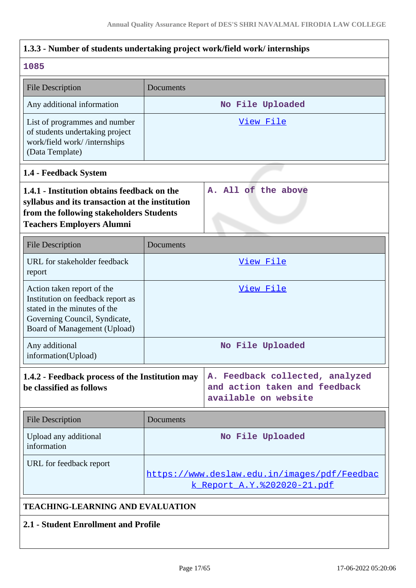| 1.3.3 - Number of students undertaking project work/field work/ internships                                                                                                    |                  |                                                                                          |
|--------------------------------------------------------------------------------------------------------------------------------------------------------------------------------|------------------|------------------------------------------------------------------------------------------|
| 1085                                                                                                                                                                           |                  |                                                                                          |
| <b>File Description</b>                                                                                                                                                        | Documents        |                                                                                          |
| Any additional information                                                                                                                                                     | No File Uploaded |                                                                                          |
| List of programmes and number<br>of students undertaking project<br>work/field work//internships<br>(Data Template)                                                            | View File        |                                                                                          |
| 1.4 - Feedback System                                                                                                                                                          |                  |                                                                                          |
| 1.4.1 - Institution obtains feedback on the<br>syllabus and its transaction at the institution<br>from the following stakeholders Students<br><b>Teachers Employers Alumni</b> |                  | A. All of the above                                                                      |
| <b>File Description</b>                                                                                                                                                        | Documents        |                                                                                          |
| URL for stakeholder feedback<br>report                                                                                                                                         |                  | <u>View File</u>                                                                         |
| Action taken report of the<br>Institution on feedback report as<br>stated in the minutes of the<br>Governing Council, Syndicate,<br>Board of Management (Upload)               |                  | <u>View File</u>                                                                         |
| Any additional<br>information(Upload)                                                                                                                                          |                  | No File Uploaded                                                                         |
| 1.4.2 - Feedback process of the Institution may<br>be classified as follows                                                                                                    |                  | A. Feedback collected, analyzed<br>and action taken and feedback<br>available on website |
| <b>File Description</b>                                                                                                                                                        | Documents        |                                                                                          |
| Upload any additional<br>information                                                                                                                                           |                  | No File Uploaded                                                                         |
| URL for feedback report                                                                                                                                                        |                  | https://www.deslaw.edu.in/images/pdf/Feedbac<br><u>k Report A.Y.%202020-21.pdf</u>       |
| TEACHING-LEARNING AND EVALUATION                                                                                                                                               |                  |                                                                                          |
| 2.1 - Student Enrollment and Profile                                                                                                                                           |                  |                                                                                          |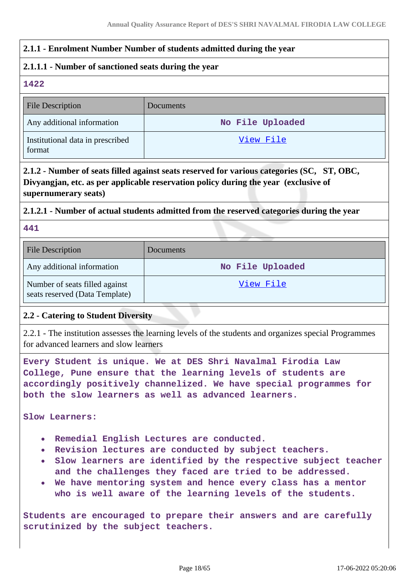### **2.1.1 - Enrolment Number Number of students admitted during the year**

### **2.1.1.1 - Number of sanctioned seats during the year**

**1422**

| <b>File Description</b>                    | Documents        |
|--------------------------------------------|------------------|
| Any additional information                 | No File Uploaded |
| Institutional data in prescribed<br>format | View File        |

# **2.1.2 - Number of seats filled against seats reserved for various categories (SC, ST, OBC, Divyangjan, etc. as per applicable reservation policy during the year (exclusive of supernumerary seats)**

### **2.1.2.1 - Number of actual students admitted from the reserved categories during the year**

#### **441**

| <b>File Description</b>                                          | <b>Documents</b> |
|------------------------------------------------------------------|------------------|
| Any additional information                                       | No File Uploaded |
| Number of seats filled against<br>seats reserved (Data Template) | <u>View File</u> |

# **2.2 - Catering to Student Diversity**

2.2.1 - The institution assesses the learning levels of the students and organizes special Programmes for advanced learners and slow learners

**Every Student is unique. We at DES Shri Navalmal Firodia Law College, Pune ensure that the learning levels of students are accordingly positively channelized. We have special programmes for both the slow learners as well as advanced learners.**

**Slow Learners:**

- **Remedial English Lectures are conducted.**
- **Revision lectures are conducted by subject teachers.**
- **Slow learners are identified by the respective subject teacher and the challenges they faced are tried to be addressed.**
- **We have mentoring system and hence every class has a mentor who is well aware of the learning levels of the students.**

**Students are encouraged to prepare their answers and are carefully scrutinized by the subject teachers.**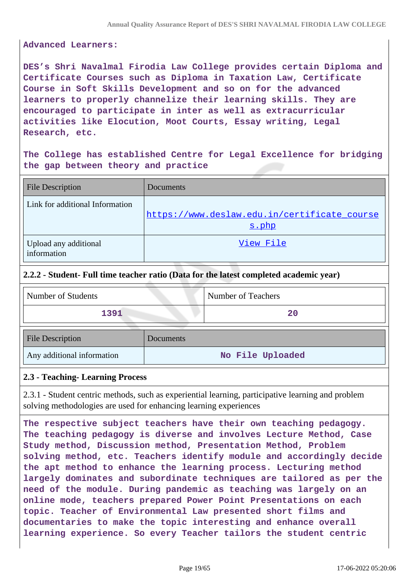#### **Advanced Learners:**

**DES's Shri Navalmal Firodia Law College provides certain Diploma and Certificate Courses such as Diploma in Taxation Law, Certificate Course in Soft Skills Development and so on for the advanced learners to properly channelize their learning skills. They are encouraged to participate in inter as well as extracurricular activities like Elocution, Moot Courts, Essay writing, Legal Research, etc.**

**The College has established Centre for Legal Excellence for bridging the gap between theory and practice**

| <b>File Description</b>              | Documents                                             |
|--------------------------------------|-------------------------------------------------------|
| Link for additional Information      | https://www.deslaw.edu.in/certificate_course<br>s.php |
| Upload any additional<br>information | View File                                             |

#### **2.2.2 - Student- Full time teacher ratio (Data for the latest completed academic year)**

| Number of Students         |           | Number of Teachers |
|----------------------------|-----------|--------------------|
| 1391                       |           | 20                 |
| <b>File Description</b>    | Documents |                    |
| Any additional information |           | No File Uploaded   |

#### **2.3 - Teaching- Learning Process**

2.3.1 - Student centric methods, such as experiential learning, participative learning and problem solving methodologies are used for enhancing learning experiences

**The respective subject teachers have their own teaching pedagogy. The teaching pedagogy is diverse and involves Lecture Method, Case Study method, Discussion method, Presentation Method, Problem solving method, etc. Teachers identify module and accordingly decide the apt method to enhance the learning process. Lecturing method largely dominates and subordinate techniques are tailored as per the need of the module. During pandemic as teaching was largely on an online mode, teachers prepared Power Point Presentations on each topic. Teacher of Environmental Law presented short films and documentaries to make the topic interesting and enhance overall learning experience. So every Teacher tailors the student centric**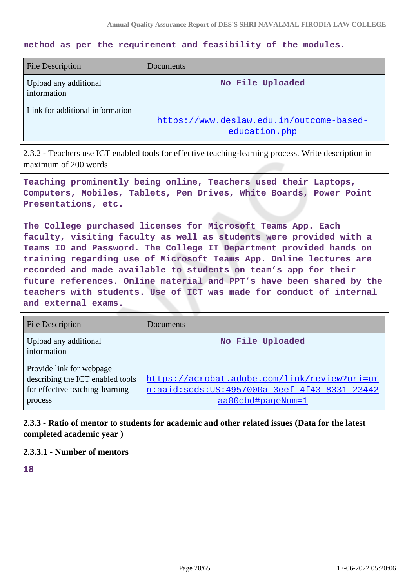**method as per the requirement and feasibility of the modules.**

| <b>File Description</b>              | Documents                                                 |
|--------------------------------------|-----------------------------------------------------------|
| Upload any additional<br>information | No File Uploaded                                          |
| Link for additional information      | https://www.deslaw.edu.in/outcome-based-<br>education.php |

2.3.2 - Teachers use ICT enabled tools for effective teaching-learning process. Write description in maximum of 200 words

**Teaching prominently being online, Teachers used their Laptops, Computers, Mobiles, Tablets, Pen Drives, White Boards, Power Point Presentations, etc.**

**The College purchased licenses for Microsoft Teams App. Each faculty, visiting faculty as well as students were provided with a Teams ID and Password. The College IT Department provided hands on training regarding use of Microsoft Teams App. Online lectures are recorded and made available to students on team's app for their future references. Online material and PPT's have been shared by the teachers with students. Use of ICT was made for conduct of internal and external exams.**

| <b>File Description</b>                                                                                    | Documents                                                                                                         |
|------------------------------------------------------------------------------------------------------------|-------------------------------------------------------------------------------------------------------------------|
| Upload any additional<br>information                                                                       | No File Uploaded                                                                                                  |
| Provide link for webpage<br>describing the ICT enabled tools<br>for effective teaching-learning<br>process | https://acrobat.adobe.com/link/review?uri=ur<br>n:aaid:scds:US:4957000a-3eef-4f43-8331-23442<br>aa00cbd#pageNum=1 |

**2.3.3 - Ratio of mentor to students for academic and other related issues (Data for the latest completed academic year )**

### **2.3.3.1 - Number of mentors**

**18**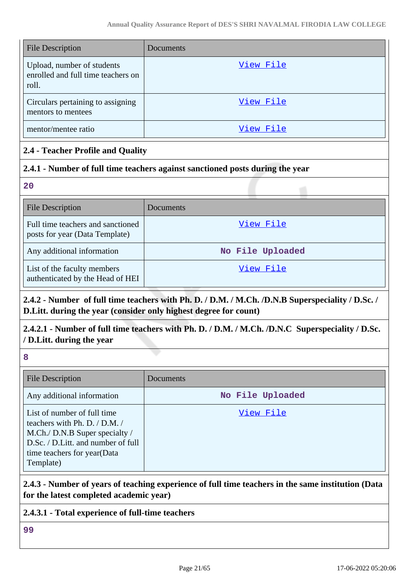| <b>File Description</b>                                                   | <b>Documents</b> |
|---------------------------------------------------------------------------|------------------|
| Upload, number of students<br>enrolled and full time teachers on<br>roll. | View File        |
| Circulars pertaining to assigning<br>mentors to mentees                   | View File        |
| mentor/mentee ratio                                                       | View File        |

# **2.4 - Teacher Profile and Quality**

### **2.4.1 - Number of full time teachers against sanctioned posts during the year**

**20**

| <b>File Description</b>                                             | Documents        |
|---------------------------------------------------------------------|------------------|
| Full time teachers and sanctioned<br>posts for year (Data Template) | View File        |
| Any additional information                                          | No File Uploaded |
| List of the faculty members<br>authenticated by the Head of HEI     | View File        |

# **2.4.2 - Number of full time teachers with Ph. D. / D.M. / M.Ch. /D.N.B Superspeciality / D.Sc. / D.Litt. during the year (consider only highest degree for count)**

# **2.4.2.1 - Number of full time teachers with Ph. D. / D.M. / M.Ch. /D.N.C Superspeciality / D.Sc. / D.Litt. during the year**

**8**

| <b>File Description</b>                                                                                                                                                              | Documents        |
|--------------------------------------------------------------------------------------------------------------------------------------------------------------------------------------|------------------|
| Any additional information                                                                                                                                                           | No File Uploaded |
| List of number of full time<br>teachers with Ph. D. $/$ D.M. $/$<br>M.Ch./ D.N.B Super specialty /<br>D.Sc. / D.Litt. and number of full<br>time teachers for year(Data<br>Template) | View File        |

### **2.4.3 - Number of years of teaching experience of full time teachers in the same institution (Data for the latest completed academic year)**

### **2.4.3.1 - Total experience of full-time teachers**

**99**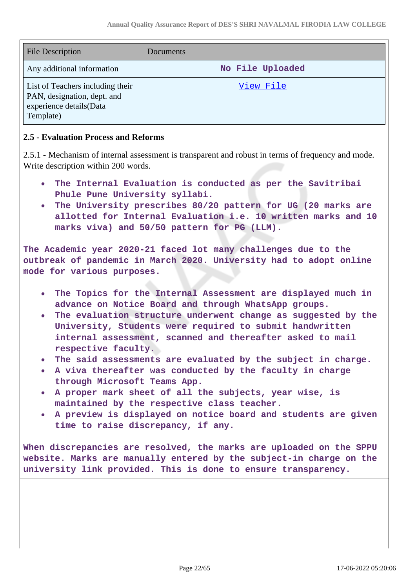| <b>File Description</b>                                                                                 | Documents        |
|---------------------------------------------------------------------------------------------------------|------------------|
| Any additional information                                                                              | No File Uploaded |
| List of Teachers including their<br>PAN, designation, dept. and<br>experience details(Data<br>Template) | View File        |

### **2.5 - Evaluation Process and Reforms**

2.5.1 - Mechanism of internal assessment is transparent and robust in terms of frequency and mode. Write description within 200 words.

- **The Internal Evaluation is conducted as per the Savitribai**  $\bullet$ **Phule Pune University syllabi.**
- **The University prescribes 80/20 pattern for UG (20 marks are allotted for Internal Evaluation i.e. 10 written marks and 10 marks viva) and 50/50 pattern for PG (LLM).**

**The Academic year 2020-21 faced lot many challenges due to the outbreak of pandemic in March 2020. University had to adopt online mode for various purposes.**

- **The Topics for the Internal Assessment are displayed much in advance on Notice Board and through WhatsApp groups.**
- **The evaluation structure underwent change as suggested by the University, Students were required to submit handwritten internal assessment, scanned and thereafter asked to mail respective faculty.**
- **The said assessments are evaluated by the subject in charge.**
- **A viva thereafter was conducted by the faculty in charge through Microsoft Teams App.**
- **A proper mark sheet of all the subjects, year wise, is maintained by the respective class teacher.**
- **A preview is displayed on notice board and students are given time to raise discrepancy, if any.**

**When discrepancies are resolved, the marks are uploaded on the SPPU website. Marks are manually entered by the subject-in charge on the university link provided. This is done to ensure transparency.**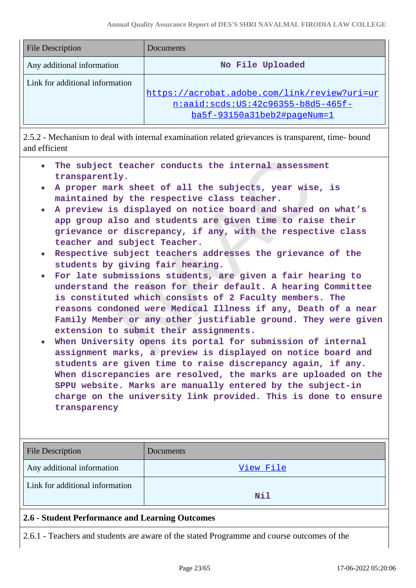| <b>File Description</b>         | Documents                                                                            |
|---------------------------------|--------------------------------------------------------------------------------------|
| Any additional information      | No File Uploaded                                                                     |
| Link for additional information | https://acrobat.adobe.com/link/review?uri=ur<br>$n:aaid:scds:US:42c96355-b8d5-465f-$ |
|                                 | ba5f-93150a31beb2#pageNum=1                                                          |

2.5.2 - Mechanism to deal with internal examination related grievances is transparent, time- bound and efficient

- **The subject teacher conducts the internal assessment transparently.**
- **A proper mark sheet of all the subjects, year wise, is maintained by the respective class teacher.**
- **A preview is displayed on notice board and shared on what's app group also and students are given time to raise their grievance or discrepancy, if any, with the respective class teacher and subject Teacher.**
- **Respective subject teachers addresses the grievance of the students by giving fair hearing.**
- **For late submissions students, are given a fair hearing to understand the reason for their default. A hearing Committee is constituted which consists of 2 Faculty members. The reasons condoned were Medical Illness if any, Death of a near Family Member or any other justifiable ground. They were given extension to submit their assignments.**
- **When University opens its portal for submission of internal assignment marks, a preview is displayed on notice board and students are given time to raise discrepancy again, if any. When discrepancies are resolved, the marks are uploaded on the SPPU website. Marks are manually entered by the subject-in charge on the university link provided. This is done to ensure transparency**

| <b>File Description</b>                         | Documents |
|-------------------------------------------------|-----------|
| Any additional information                      | View File |
| Link for additional information                 | Nil       |
| 2.6 - Student Performance and Learning Outcomes |           |

2.6.1 - Teachers and students are aware of the stated Programme and course outcomes of the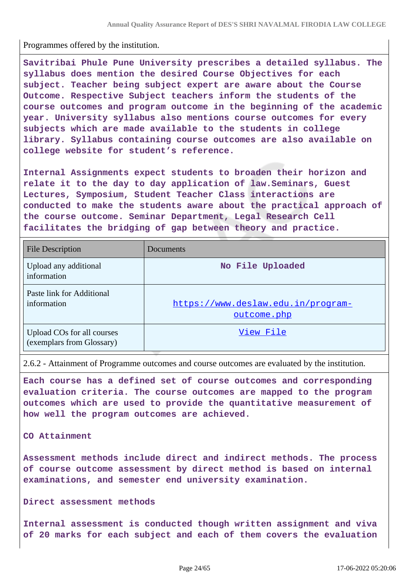Programmes offered by the institution.

**Savitribai Phule Pune University prescribes a detailed syllabus. The syllabus does mention the desired Course Objectives for each subject. Teacher being subject expert are aware about the Course Outcome. Respective Subject teachers inform the students of the course outcomes and program outcome in the beginning of the academic year. University syllabus also mentions course outcomes for every subjects which are made available to the students in college library. Syllabus containing course outcomes are also available on college website for student's reference.**

**Internal Assignments expect students to broaden their horizon and relate it to the day to day application of law.Seminars, Guest Lectures, Symposium, Student Teacher Class interactions are conducted to make the students aware about the practical approach of the course outcome. Seminar Department, Legal Research Cell facilitates the bridging of gap between theory and practice.**

| <b>File Description</b>                                 | Documents                                         |
|---------------------------------------------------------|---------------------------------------------------|
| Upload any additional<br>information                    | No File Uploaded                                  |
| Paste link for Additional<br>information                | https://www.deslaw.edu.in/program-<br>outcome.php |
| Upload COs for all courses<br>(exemplars from Glossary) | View File                                         |

2.6.2 - Attainment of Programme outcomes and course outcomes are evaluated by the institution.

**Each course has a defined set of course outcomes and corresponding evaluation criteria. The course outcomes are mapped to the program outcomes which are used to provide the quantitative measurement of how well the program outcomes are achieved.**

#### **CO Attainment**

**Assessment methods include direct and indirect methods. The process of course outcome assessment by direct method is based on internal examinations, and semester end university examination.**

#### **Direct assessment methods**

**Internal assessment is conducted though written assignment and viva of 20 marks for each subject and each of them covers the evaluation**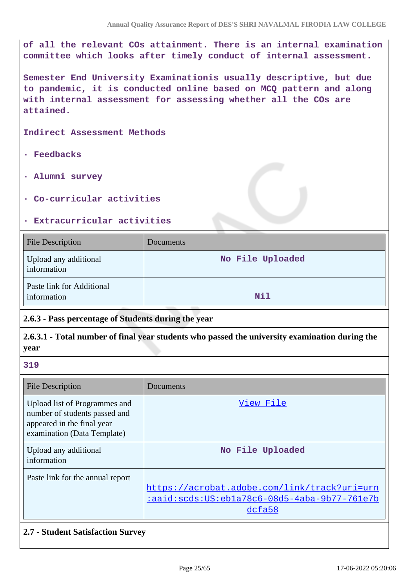**of all the relevant COs attainment. There is an internal examination committee which looks after timely conduct of internal assessment.**

**Semester End University Examinationis usually descriptive, but due to pandemic, it is conducted online based on MCQ pattern and along with internal assessment for assessing whether all the COs are attained.**

**Indirect Assessment Methods**

- **· Feedbacks**
- **· Alumni survey**
- **· Co-curricular activities**

#### **· Extracurricular activities**

| File Description                         | Documents        |
|------------------------------------------|------------------|
| Upload any additional<br>information     | No File Uploaded |
| Paste link for Additional<br>information | Nil              |

# **2.6.3 - Pass percentage of Students during the year**

### **2.6.3.1 - Total number of final year students who passed the university examination during the year**

#### **319**

| <b>File Description</b>                                                                                                     | Documents                                                                                              |
|-----------------------------------------------------------------------------------------------------------------------------|--------------------------------------------------------------------------------------------------------|
| Upload list of Programmes and<br>number of students passed and<br>appeared in the final year<br>examination (Data Template) | View File                                                                                              |
| Upload any additional<br>information                                                                                        | No File Uploaded                                                                                       |
| Paste link for the annual report                                                                                            | https://acrobat.adobe.com/link/track?uri=urn<br>:aaid:scds:US:ebla78c6-08d5-4aba-9b77-761e7b<br>dcfa58 |

### **2.7 - Student Satisfaction Survey**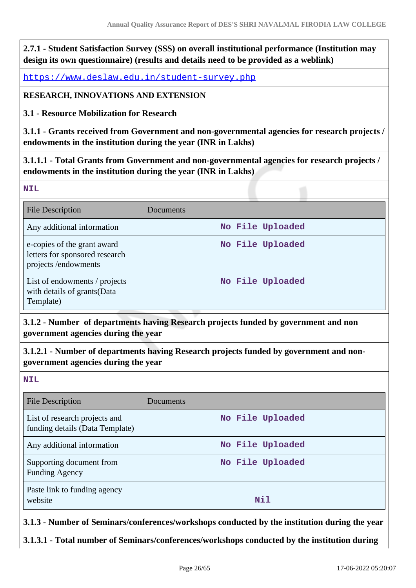**2.7.1 - Student Satisfaction Survey (SSS) on overall institutional performance (Institution may design its own questionnaire) (results and details need to be provided as a weblink)**

<https://www.deslaw.edu.in/student-survey.php>

### **RESEARCH, INNOVATIONS AND EXTENSION**

**3.1 - Resource Mobilization for Research**

**3.1.1 - Grants received from Government and non-governmental agencies for research projects / endowments in the institution during the year (INR in Lakhs)**

**3.1.1.1 - Total Grants from Government and non-governmental agencies for research projects / endowments in the institution during the year (INR in Lakhs)**

**NIL**

| <b>File Description</b>                                                              | Documents        |
|--------------------------------------------------------------------------------------|------------------|
| Any additional information                                                           | No File Uploaded |
| e-copies of the grant award<br>letters for sponsored research<br>projects/endowments | No File Uploaded |
| List of endowments / projects<br>with details of grants(Data<br>Template)            | No File Uploaded |

**3.1.2 - Number of departments having Research projects funded by government and non government agencies during the year**

**3.1.2.1 - Number of departments having Research projects funded by government and nongovernment agencies during the year**

**NIL**

| File Description                                                 | Documents        |
|------------------------------------------------------------------|------------------|
| List of research projects and<br>funding details (Data Template) | No File Uploaded |
| Any additional information                                       | No File Uploaded |
| Supporting document from<br><b>Funding Agency</b>                | No File Uploaded |
| Paste link to funding agency<br>website                          | Nil              |

**3.1.3 - Number of Seminars/conferences/workshops conducted by the institution during the year**

**3.1.3.1 - Total number of Seminars/conferences/workshops conducted by the institution during**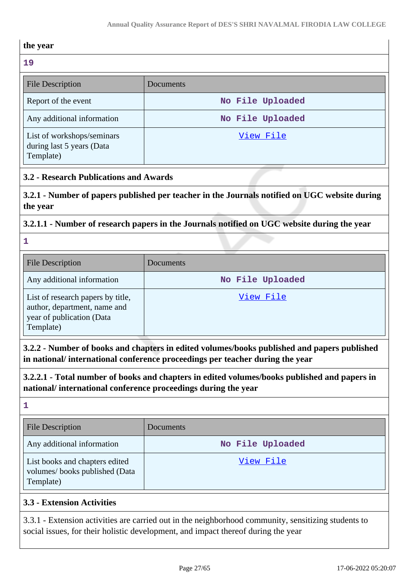#### **the year**

# **19**

| 19<br><b>File Description</b>                                        | Documents        |
|----------------------------------------------------------------------|------------------|
| Report of the event                                                  | No File Uploaded |
| Any additional information                                           | No File Uploaded |
| List of workshops/seminars<br>during last 5 years (Data<br>Template) | View File        |

### **3.2 - Research Publications and Awards**

**3.2.1 - Number of papers published per teacher in the Journals notified on UGC website during the year**

### **3.2.1.1 - Number of research papers in the Journals notified on UGC website during the year**

# **1**

| <b>File Description</b>                                                                                     | Documents        |
|-------------------------------------------------------------------------------------------------------------|------------------|
| Any additional information                                                                                  | No File Uploaded |
| List of research papers by title,<br>author, department, name and<br>year of publication (Data<br>Template) | View File        |

**3.2.2 - Number of books and chapters in edited volumes/books published and papers published in national/ international conference proceedings per teacher during the year**

**3.2.2.1 - Total number of books and chapters in edited volumes/books published and papers in national/ international conference proceedings during the year**

#### **1**

| <b>File Description</b>                                                      | Documents        |
|------------------------------------------------------------------------------|------------------|
| Any additional information                                                   | No File Uploaded |
| List books and chapters edited<br>volumes/books published (Data<br>Template) | View File        |

# **3.3 - Extension Activities**

3.3.1 - Extension activities are carried out in the neighborhood community, sensitizing students to social issues, for their holistic development, and impact thereof during the year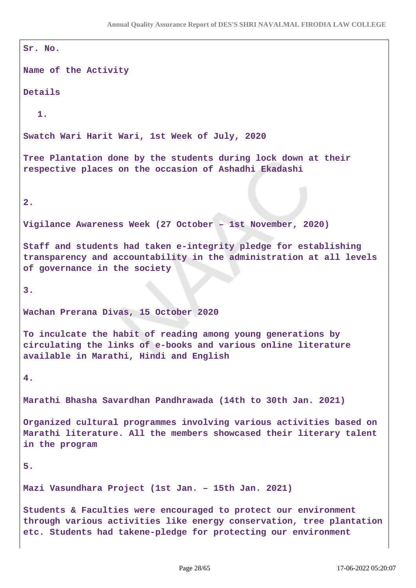```
Sr. No.
Name of the Activity
Details
  1.
Swatch Wari Harit Wari, 1st Week of July, 2020
Tree Plantation done by the students during lock down at their
respective places on the occasion of Ashadhi Ekadashi
2.
Vigilance Awareness Week (27 October – 1st November, 2020)
Staff and students had taken e-integrity pledge for establishing
transparency and accountability in the administration at all levels
of governance in the society
3.
Wachan Prerana Divas, 15 October 2020
To inculcate the habit of reading among young generations by
circulating the links of e-books and various online literature
available in Marathi, Hindi and English
4.
Marathi Bhasha Savardhan Pandhrawada (14th to 30th Jan. 2021)
Organized cultural programmes involving various activities based on
Marathi literature. All the members showcased their literary talent
in the program
5.
Mazi Vasundhara Project (1st Jan. – 15th Jan. 2021)
Students & Faculties were encouraged to protect our environment
through various activities like energy conservation, tree plantation
etc. Students had takene-pledge for protecting our environment
```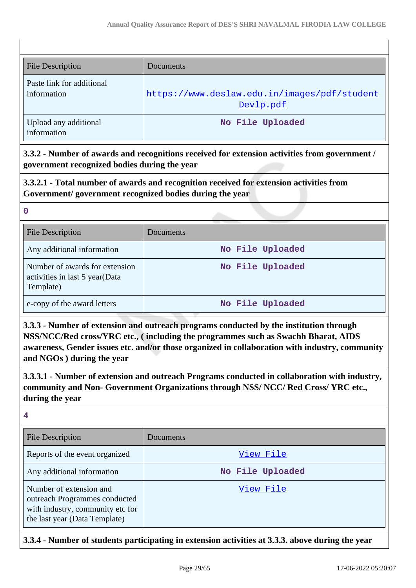| <b>File Description</b>                  | Documents                                                 |
|------------------------------------------|-----------------------------------------------------------|
| Paste link for additional<br>information | https://www.deslaw.edu.in/images/pdf/student<br>Devlp.pdf |
| Upload any additional<br>information     | No File Uploaded                                          |

**3.3.2 - Number of awards and recognitions received for extension activities from government / government recognized bodies during the year**

**3.3.2.1 - Total number of awards and recognition received for extension activities from Government/ government recognized bodies during the year**

**0**

| <b>File Description</b>                                                       | Documents        |
|-------------------------------------------------------------------------------|------------------|
| Any additional information                                                    | No File Uploaded |
| Number of awards for extension<br>activities in last 5 year(Data<br>Template) | No File Uploaded |
| e-copy of the award letters                                                   | No File Uploaded |

**3.3.3 - Number of extension and outreach programs conducted by the institution through NSS/NCC/Red cross/YRC etc., ( including the programmes such as Swachh Bharat, AIDS awareness, Gender issues etc. and/or those organized in collaboration with industry, community and NGOs ) during the year**

**3.3.3.1 - Number of extension and outreach Programs conducted in collaboration with industry, community and Non- Government Organizations through NSS/ NCC/ Red Cross/ YRC etc., during the year**

**4**

| <b>File Description</b>                                                                                                       | Documents        |
|-------------------------------------------------------------------------------------------------------------------------------|------------------|
| Reports of the event organized                                                                                                | View File        |
| Any additional information                                                                                                    | No File Uploaded |
| Number of extension and<br>outreach Programmes conducted<br>with industry, community etc for<br>the last year (Data Template) | View File        |

**3.3.4 - Number of students participating in extension activities at 3.3.3. above during the year**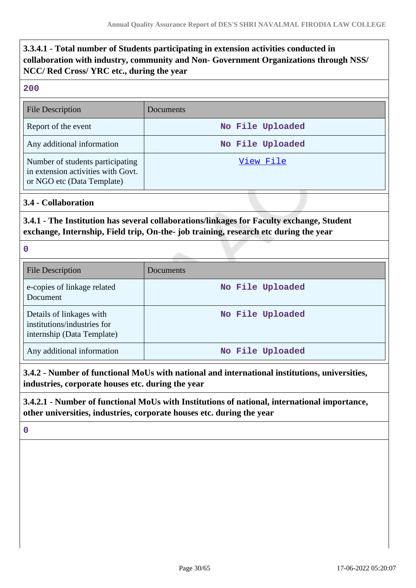# **3.3.4.1 - Total number of Students participating in extension activities conducted in collaboration with industry, community and Non- Government Organizations through NSS/ NCC/ Red Cross/ YRC etc., during the year**

#### **200**

| <b>File Description</b>                                                                              | Documents        |
|------------------------------------------------------------------------------------------------------|------------------|
| Report of the event                                                                                  | No File Uploaded |
| Any additional information                                                                           | No File Uploaded |
| Number of students participating<br>in extension activities with Govt.<br>or NGO etc (Data Template) | View File        |

### **3.4 - Collaboration**

# **3.4.1 - The Institution has several collaborations/linkages for Faculty exchange, Student exchange, Internship, Field trip, On-the- job training, research etc during the year**

**0**

| <b>File Description</b>                                                               | Documents        |
|---------------------------------------------------------------------------------------|------------------|
| e-copies of linkage related<br>Document                                               | No File Uploaded |
| Details of linkages with<br>institutions/industries for<br>internship (Data Template) | No File Uploaded |
| Any additional information                                                            | No File Uploaded |

**3.4.2 - Number of functional MoUs with national and international institutions, universities, industries, corporate houses etc. during the year**

**3.4.2.1 - Number of functional MoUs with Institutions of national, international importance, other universities, industries, corporate houses etc. during the year**

**0**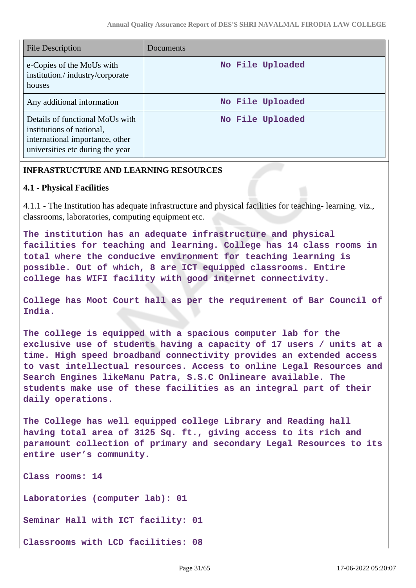| <b>File Description</b>                                                                                                             | Documents        |
|-------------------------------------------------------------------------------------------------------------------------------------|------------------|
| e-Copies of the MoUs with<br>institution./industry/corporate<br>houses                                                              | No File Uploaded |
| Any additional information                                                                                                          | No File Uploaded |
| Details of functional MoUs with<br>institutions of national,<br>international importance, other<br>universities etc during the year | No File Uploaded |

# **INFRASTRUCTURE AND LEARNING RESOURCES**

### **4.1 - Physical Facilities**

4.1.1 - The Institution has adequate infrastructure and physical facilities for teaching- learning. viz., classrooms, laboratories, computing equipment etc.

**The institution has an adequate infrastructure and physical facilities for teaching and learning. College has 14 class rooms in total where the conducive environment for teaching learning is possible. Out of which, 8 are ICT equipped classrooms. Entire college has WIFI facility with good internet connectivity.**

**College has Moot Court hall as per the requirement of Bar Council of India.**

**The college is equipped with a spacious computer lab for the exclusive use of students having a capacity of 17 users / units at a time. High speed broadband connectivity provides an extended access to vast intellectual resources. Access to online Legal Resources and Search Engines likeManu Patra, S.S.C Onlineare available. The students make use of these facilities as an integral part of their daily operations.**

**The College has well equipped college Library and Reading hall having total area of 3125 Sq. ft., giving access to its rich and paramount collection of primary and secondary Legal Resources to its entire user's community.**

**Class rooms: 14**

**Laboratories (computer lab): 01**

**Seminar Hall with ICT facility: 01**

**Classrooms with LCD facilities: 08**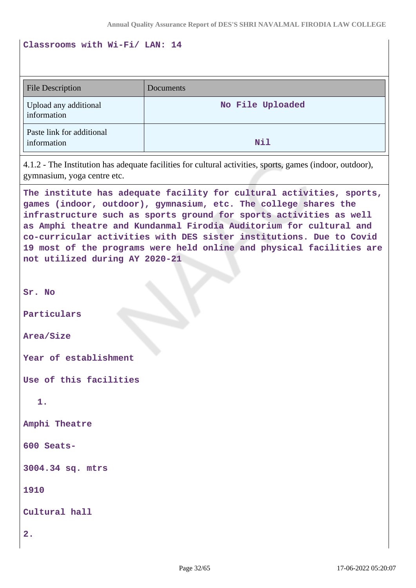#### **Classrooms with Wi-Fi/ LAN: 14**

| <b>File Description</b>                  | Documents        |
|------------------------------------------|------------------|
| Upload any additional<br>information     | No File Uploaded |
| Paste link for additional<br>information | Nil              |

4.1.2 - The Institution has adequate facilities for cultural activities, sports, games (indoor, outdoor), gymnasium, yoga centre etc.

**The institute has adequate facility for cultural activities, sports, games (indoor, outdoor), gymnasium, etc. The college shares the infrastructure such as sports ground for sports activities as well as Amphi theatre and Kundanmal Firodia Auditorium for cultural and co-curricular activities with DES sister institutions. Due to Covid 19 most of the programs were held online and physical facilities are not utilized during AY 2020-21**

**Sr. No**

**Particulars**

**Area/Size**

**Year of establishment**

**Use of this facilities**

**1.**

**Amphi Theatre**

**600 Seats-**

**3004.34 sq. mtrs**

**1910**

**Cultural hall**

**2.**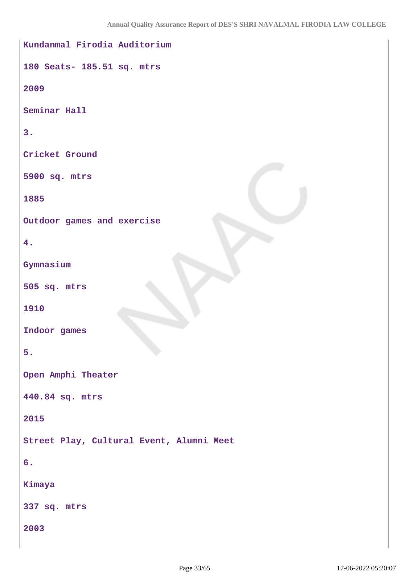```
Kundanmal Firodia Auditorium
180 Seats- 185.51 sq. mtrs
2009
Seminar Hall
3.
Cricket Ground
5900 sq. mtrs
1885
Outdoor games and exercise
4.
Gymnasium
505 sq. mtrs
1910
Indoor games
5.
Open Amphi Theater
440.84 sq. mtrs
2015
Street Play, Cultural Event, Alumni Meet
6.
Kimaya
337 sq. mtrs
2003
```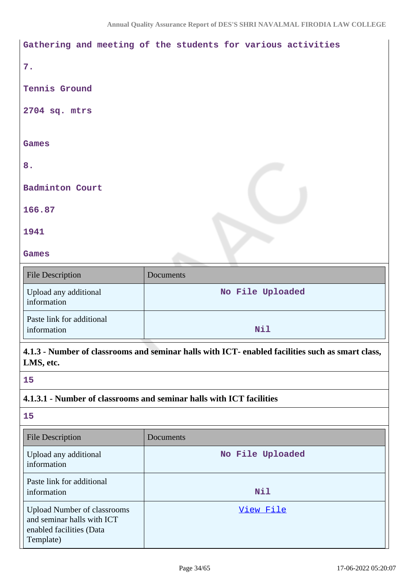|                                      | Gathering and meeting of the students for various activities |
|--------------------------------------|--------------------------------------------------------------|
| 7.                                   |                                                              |
| Tennis Ground                        |                                                              |
| 2704 sq. mtrs                        |                                                              |
|                                      |                                                              |
| Games                                |                                                              |
| 8.                                   |                                                              |
| <b>Badminton Court</b>               |                                                              |
| 166.87                               |                                                              |
| 1941                                 |                                                              |
| Games                                |                                                              |
| <b>File Description</b>              | Documents                                                    |
| Upload any additional<br>information | No File Uploaded                                             |
| Paste link for additional            |                                                              |

**4.1.3 - Number of classrooms and seminar halls with ICT- enabled facilities such as smart class, LMS, etc.**

**15**

### **4.1.3.1 - Number of classrooms and seminar halls with ICT facilities**

information **Nil** 

**15**

| <b>File Description</b>                                                                                   | Documents        |
|-----------------------------------------------------------------------------------------------------------|------------------|
| Upload any additional<br>information                                                                      | No File Uploaded |
| Paste link for additional<br>information                                                                  | <b>Nil</b>       |
| <b>Upload Number of classrooms</b><br>and seminar halls with ICT<br>enabled facilities (Data<br>Template) | View File        |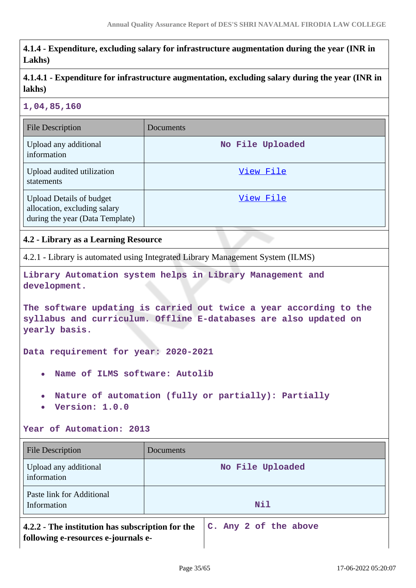**4.1.4 - Expenditure, excluding salary for infrastructure augmentation during the year (INR in Lakhs)**

**4.1.4.1 - Expenditure for infrastructure augmentation, excluding salary during the year (INR in lakhs)**

#### **1,04,85,160**

| <b>File Description</b>                                                                            | Documents        |
|----------------------------------------------------------------------------------------------------|------------------|
| Upload any additional<br>information                                                               | No File Uploaded |
| Upload audited utilization<br>statements                                                           | View File        |
| <b>Upload Details of budget</b><br>allocation, excluding salary<br>during the year (Data Template) | View File        |

### **4.2 - Library as a Learning Resource**

4.2.1 - Library is automated using Integrated Library Management System (ILMS)

**Library Automation system helps in Library Management and development.**

**The software updating is carried out twice a year according to the syllabus and curriculum. Offline E-databases are also updated on yearly basis.**

**Data requirement for year: 2020-2021**

- **Name of ILMS software: Autolib**
- **Nature of automation (fully or partially): Partially**
- **Version: 1.0.0**

#### **Year of Automation: 2013**

| <b>File Description</b>                                                                 | Documents             |  |  |  |  |
|-----------------------------------------------------------------------------------------|-----------------------|--|--|--|--|
| Upload any additional<br>information                                                    | No File Uploaded      |  |  |  |  |
| Paste link for Additional<br>Information                                                | Nil                   |  |  |  |  |
| 4.2.2 - The institution has subscription for the<br>following e-resources e-journals e- | C. Any 2 of the above |  |  |  |  |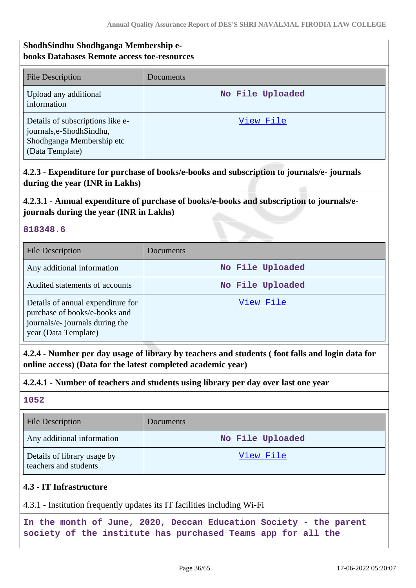### **ShodhSindhu Shodhganga Membership ebooks Databases Remote access toe-resources**

| <b>File Description</b>                                                                                       | Documents        |
|---------------------------------------------------------------------------------------------------------------|------------------|
| Upload any additional<br>information                                                                          | No File Uploaded |
| Details of subscriptions like e-<br>journals, e-Shodh Sindhu,<br>Shodhganga Membership etc<br>(Data Template) | View File        |

# **4.2.3 - Expenditure for purchase of books/e-books and subscription to journals/e- journals during the year (INR in Lakhs)**

# **4.2.3.1 - Annual expenditure of purchase of books/e-books and subscription to journals/ejournals during the year (INR in Lakhs)**

#### **818348.6**

| <b>File Description</b>                                                                                                       | <b>Documents</b> |
|-------------------------------------------------------------------------------------------------------------------------------|------------------|
| Any additional information                                                                                                    | No File Uploaded |
| Audited statements of accounts                                                                                                | No File Uploaded |
| Details of annual expenditure for<br>purchase of books/e-books and<br>journals/e- journals during the<br>year (Data Template) | View File        |

**4.2.4 - Number per day usage of library by teachers and students ( foot falls and login data for online access) (Data for the latest completed academic year)**

### **4.2.4.1 - Number of teachers and students using library per day over last one year**

# **1052**

| <b>File Description</b>                              | Documents        |
|------------------------------------------------------|------------------|
| Any additional information                           | No File Uploaded |
| Details of library usage by<br>teachers and students | View File        |

### **4.3 - IT Infrastructure**

4.3.1 - Institution frequently updates its IT facilities including Wi-Fi

**In the month of June, 2020, Deccan Education Society - the parent society of the institute has purchased Teams app for all the**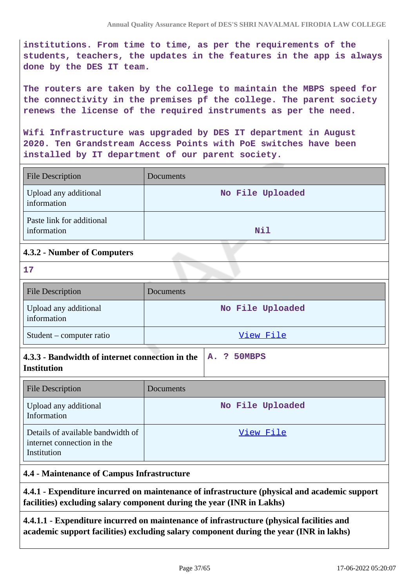**institutions. From time to time, as per the requirements of the students, teachers, the updates in the features in the app is always done by the DES IT team.**

**The routers are taken by the college to maintain the MBPS speed for the connectivity in the premises pf the college. The parent society renews the license of the required instruments as per the need.**

**Wifi Infrastructure was upgraded by DES IT department in August 2020. Ten Grandstream Access Points with PoE switches have been installed by IT department of our parent society.**

| <b>File Description</b>                  | Documents        |
|------------------------------------------|------------------|
| Upload any additional<br>information     | No File Uploaded |
| Paste link for additional<br>information | Nil              |

### **4.3.2 - Number of Computers**

**17**

| <b>File Description</b>              | <b>Documents</b> |
|--------------------------------------|------------------|
| Upload any additional<br>information | No File Uploaded |
| Student – computer ratio             | View File        |

| 4.3.3 - Bandwidth of internet connection in the $ A.$ ? 50MBPS |  |  |
|----------------------------------------------------------------|--|--|
| <b>Institution</b>                                             |  |  |

| <b>File Description</b>                                                        | <b>Documents</b> |
|--------------------------------------------------------------------------------|------------------|
| Upload any additional<br>Information                                           | No File Uploaded |
| Details of available bandwidth of<br>internet connection in the<br>Institution | View File        |

#### **4.4 - Maintenance of Campus Infrastructure**

**4.4.1 - Expenditure incurred on maintenance of infrastructure (physical and academic support facilities) excluding salary component during the year (INR in Lakhs)**

**4.4.1.1 - Expenditure incurred on maintenance of infrastructure (physical facilities and academic support facilities) excluding salary component during the year (INR in lakhs)**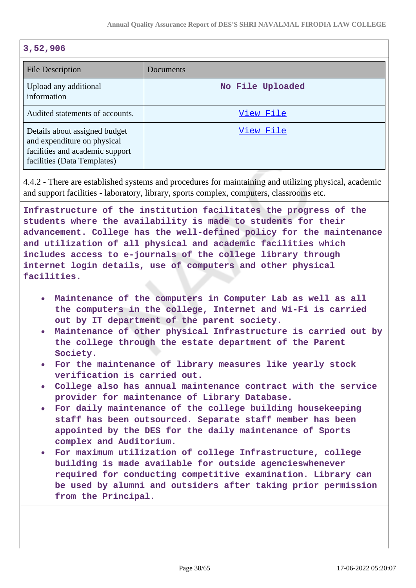#### **3,52,906**

| <b>File Description</b>                                                                                                        | Documents        |
|--------------------------------------------------------------------------------------------------------------------------------|------------------|
| Upload any additional<br>information                                                                                           | No File Uploaded |
| Audited statements of accounts.                                                                                                | View File        |
| Details about assigned budget<br>and expenditure on physical<br>facilities and academic support<br>facilities (Data Templates) | View File        |

4.4.2 - There are established systems and procedures for maintaining and utilizing physical, academic and support facilities - laboratory, library, sports complex, computers, classrooms etc.

**Infrastructure of the institution facilitates the progress of the students where the availability is made to students for their advancement. College has the well-defined policy for the maintenance and utilization of all physical and academic facilities which includes access to e-journals of the college library through internet login details, use of computers and other physical facilities.**

- **Maintenance of the computers in Computer Lab as well as all the computers in the college, Internet and Wi-Fi is carried out by IT department of the parent society.**
- **Maintenance of other physical Infrastructure is carried out by the college through the estate department of the Parent Society.**
- **For the maintenance of library measures like yearly stock verification is carried out.**
- **College also has annual maintenance contract with the service provider for maintenance of Library Database.**
- **For daily maintenance of the college building housekeeping staff has been outsourced. Separate staff member has been appointed by the DES for the daily maintenance of Sports complex and Auditorium.**
- **For maximum utilization of college Infrastructure, college building is made available for outside agencieswhenever required for conducting competitive examination. Library can be used by alumni and outsiders after taking prior permission from the Principal.**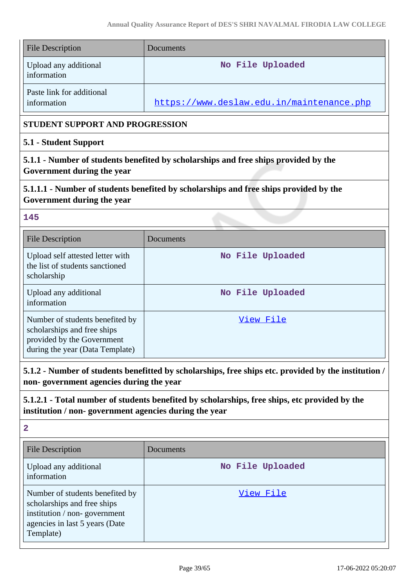| <b>File Description</b>                                                                                                                       | Documents                                                                                            |  |  |  |  |  |
|-----------------------------------------------------------------------------------------------------------------------------------------------|------------------------------------------------------------------------------------------------------|--|--|--|--|--|
| Upload any additional<br>information                                                                                                          | No File Uploaded                                                                                     |  |  |  |  |  |
| Paste link for additional<br>information                                                                                                      | https://www.deslaw.edu.in/maintenance.php                                                            |  |  |  |  |  |
| <b>STUDENT SUPPORT AND PROGRESSION</b>                                                                                                        |                                                                                                      |  |  |  |  |  |
| 5.1 - Student Support                                                                                                                         |                                                                                                      |  |  |  |  |  |
| 5.1.1 - Number of students benefited by scholarships and free ships provided by the<br>Government during the year                             |                                                                                                      |  |  |  |  |  |
| 5.1.1.1 - Number of students benefited by scholarships and free ships provided by the<br>Government during the year                           |                                                                                                      |  |  |  |  |  |
| 145                                                                                                                                           |                                                                                                      |  |  |  |  |  |
| <b>File Description</b>                                                                                                                       | Documents                                                                                            |  |  |  |  |  |
| Upload self attested letter with<br>the list of students sanctioned<br>scholarship                                                            | No File Uploaded                                                                                     |  |  |  |  |  |
| Upload any additional<br>information                                                                                                          | No File Uploaded                                                                                     |  |  |  |  |  |
| Number of students benefited by<br>scholarships and free ships<br>provided by the Government<br>during the year (Data Template)               | View File                                                                                            |  |  |  |  |  |
| non-government agencies during the year                                                                                                       | 5.1.2 - Number of students benefitted by scholarships, free ships etc. provided by the institution / |  |  |  |  |  |
| institution / non-government agencies during the year                                                                                         | 5.1.2.1 - Total number of students benefited by scholarships, free ships, etc provided by the        |  |  |  |  |  |
| $\overline{\mathbf{2}}$                                                                                                                       |                                                                                                      |  |  |  |  |  |
| <b>File Description</b>                                                                                                                       | Documents                                                                                            |  |  |  |  |  |
| Upload any additional<br>information                                                                                                          | No File Uploaded                                                                                     |  |  |  |  |  |
| Number of students benefited by<br>scholarships and free ships<br>institution / non-government<br>agencies in last 5 years (Date<br>Template) | View File                                                                                            |  |  |  |  |  |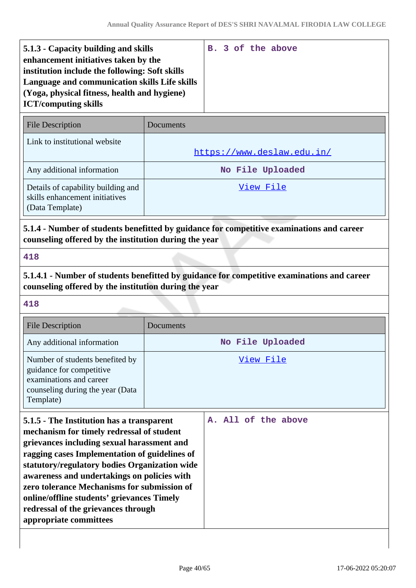| 5.1.3 - Capacity building and skills           |  |  | B. 3 of the above |
|------------------------------------------------|--|--|-------------------|
| enhancement initiatives taken by the           |  |  |                   |
| institution include the following: Soft skills |  |  |                   |
| Language and communication skills Life skills  |  |  |                   |
| (Yoga, physical fitness, health and hygiene)   |  |  |                   |
| <b>ICT/computing skills</b>                    |  |  |                   |
|                                                |  |  |                   |

| <b>File Description</b>                                                                 | Documents                  |
|-----------------------------------------------------------------------------------------|----------------------------|
| Link to institutional website                                                           | https://www.deslaw.edu.in/ |
| Any additional information                                                              | No File Uploaded           |
| Details of capability building and<br>skills enhancement initiatives<br>(Data Template) | View File                  |

# **5.1.4 - Number of students benefitted by guidance for competitive examinations and career counseling offered by the institution during the year**

#### **418**

**5.1.4.1 - Number of students benefitted by guidance for competitive examinations and career counseling offered by the institution during the year**

#### **418**

| <b>File Description</b>                                                                                                                 | Documents        |
|-----------------------------------------------------------------------------------------------------------------------------------------|------------------|
| Any additional information                                                                                                              | No File Uploaded |
| Number of students benefited by<br>guidance for competitive<br>examinations and career<br>counseling during the year (Data<br>Template) | View File        |

| 5.1.5 - The Institution has a transparent     |  |  | A. All of the above |
|-----------------------------------------------|--|--|---------------------|
| mechanism for timely redressal of student     |  |  |                     |
| grievances including sexual harassment and    |  |  |                     |
| ragging cases Implementation of guidelines of |  |  |                     |
| statutory/regulatory bodies Organization wide |  |  |                     |
| awareness and undertakings on policies with   |  |  |                     |
| zero tolerance Mechanisms for submission of   |  |  |                     |
| online/offline students' grievances Timely    |  |  |                     |
| redressal of the grievances through           |  |  |                     |
| appropriate committees                        |  |  |                     |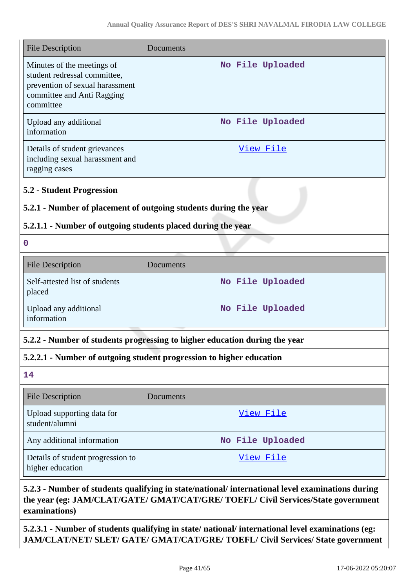| <b>File Description</b>                                                                                                                  | Documents                                                            |  |  |
|------------------------------------------------------------------------------------------------------------------------------------------|----------------------------------------------------------------------|--|--|
| Minutes of the meetings of<br>student redressal committee,<br>prevention of sexual harassment<br>committee and Anti Ragging<br>committee | No File Uploaded                                                     |  |  |
| Upload any additional<br>information                                                                                                     | No File Uploaded                                                     |  |  |
| Details of student grievances<br>including sexual harassment and<br>ragging cases                                                        | <u>View File</u>                                                     |  |  |
| <b>5.2 - Student Progression</b>                                                                                                         |                                                                      |  |  |
|                                                                                                                                          | 5.2.1 - Number of placement of outgoing students during the year     |  |  |
| 5.2.1.1 - Number of outgoing students placed during the year                                                                             |                                                                      |  |  |
| $\mathbf 0$                                                                                                                              |                                                                      |  |  |
| <b>File Description</b>                                                                                                                  | Documents                                                            |  |  |
| Self-attested list of students<br>placed                                                                                                 | No File Uploaded                                                     |  |  |
| Upload any additional<br>information                                                                                                     | No File Uploaded                                                     |  |  |
| 5.2.2 - Number of students progressing to higher education during the year                                                               |                                                                      |  |  |
|                                                                                                                                          | 5.2.2.1 - Number of outgoing student progression to higher education |  |  |
| 14                                                                                                                                       |                                                                      |  |  |
| <b>File Description</b>                                                                                                                  | Documents                                                            |  |  |
| Upload supporting data for<br>student/alumni                                                                                             | View File                                                            |  |  |
| Any additional information                                                                                                               | No File Uploaded                                                     |  |  |
| Details of student progression to<br>higher education                                                                                    | View File                                                            |  |  |

# **5.2.3 - Number of students qualifying in state/national/ international level examinations during the year (eg: JAM/CLAT/GATE/ GMAT/CAT/GRE/ TOEFL/ Civil Services/State government examinations)**

**5.2.3.1 - Number of students qualifying in state/ national/ international level examinations (eg: JAM/CLAT/NET/ SLET/ GATE/ GMAT/CAT/GRE/ TOEFL/ Civil Services/ State government**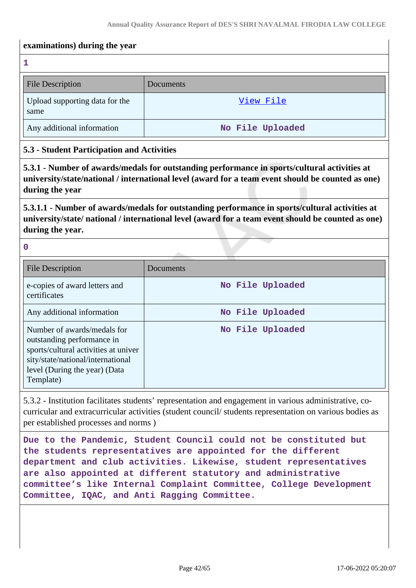#### **examinations) during the year**

**1**

| <b>File Description</b>                | Documents        |
|----------------------------------------|------------------|
| Upload supporting data for the<br>same | View File        |
| Any additional information             | No File Uploaded |

### **5.3 - Student Participation and Activities**

**5.3.1 - Number of awards/medals for outstanding performance in sports/cultural activities at university/state/national / international level (award for a team event should be counted as one) during the year**

**5.3.1.1 - Number of awards/medals for outstanding performance in sports/cultural activities at university/state/ national / international level (award for a team event should be counted as one) during the year.**

**0**

| <b>File Description</b>                                                                                                                                                              | Documents        |
|--------------------------------------------------------------------------------------------------------------------------------------------------------------------------------------|------------------|
| e-copies of award letters and<br>certificates                                                                                                                                        | No File Uploaded |
| Any additional information                                                                                                                                                           | No File Uploaded |
| Number of awards/medals for<br>outstanding performance in<br>sports/cultural activities at univer<br>sity/state/national/international<br>level (During the year) (Data<br>Template) | No File Uploaded |

5.3.2 - Institution facilitates students' representation and engagement in various administrative, cocurricular and extracurricular activities (student council/ students representation on various bodies as per established processes and norms )

**Due to the Pandemic, Student Council could not be constituted but the students representatives are appointed for the different department and club activities. Likewise, student representatives are also appointed at different statutory and administrative committee's like Internal Complaint Committee, College Development Committee, IQAC, and Anti Ragging Committee.**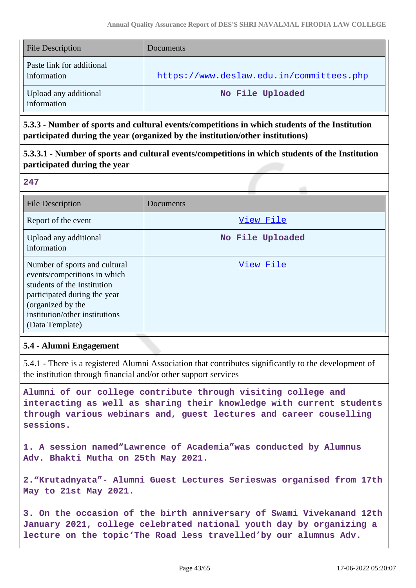| <b>File Description</b>                  | Documents                                |
|------------------------------------------|------------------------------------------|
| Paste link for additional<br>information | https://www.deslaw.edu.in/committees.php |
| Upload any additional<br>information     | No File Uploaded                         |

**5.3.3 - Number of sports and cultural events/competitions in which students of the Institution participated during the year (organized by the institution/other institutions)**

**5.3.3.1 - Number of sports and cultural events/competitions in which students of the Institution participated during the year**

**247**

| <b>File Description</b>                                                                                                                                                                                | Documents        |
|--------------------------------------------------------------------------------------------------------------------------------------------------------------------------------------------------------|------------------|
| Report of the event                                                                                                                                                                                    | View File        |
| Upload any additional<br>information                                                                                                                                                                   | No File Uploaded |
| Number of sports and cultural<br>events/competitions in which<br>students of the Institution<br>participated during the year<br>(organized by the<br>institution/other institutions<br>(Data Template) | View File        |

### **5.4 - Alumni Engagement**

5.4.1 - There is a registered Alumni Association that contributes significantly to the development of the institution through financial and/or other support services

**Alumni of our college contribute through visiting college and interacting as well as sharing their knowledge with current students through various webinars and, guest lectures and career couselling sessions.**

**1. A session named"Lawrence of Academia"was conducted by Alumnus Adv. Bhakti Mutha on 25th May 2021.**

**2."Krutadnyata"- Alumni Guest Lectures Serieswas organised from 17th May to 21st May 2021.**

**3. On the occasion of the birth anniversary of Swami Vivekanand 12th January 2021, college celebrated national youth day by organizing a lecture on the topic'The Road less travelled'by our alumnus Adv.**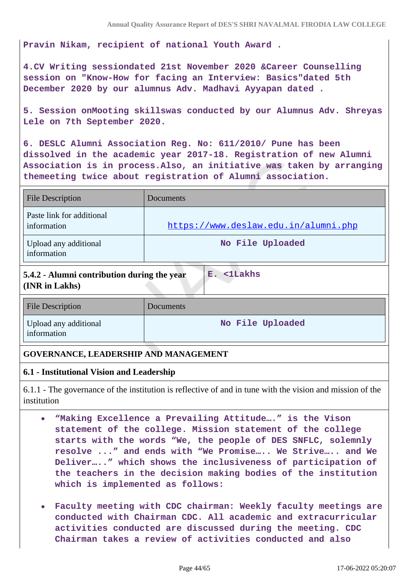**Pravin Nikam, recipient of national Youth Award .**

**4.CV Writing sessiondated 21st November 2020 &Career Counselling session on "Know-How for facing an Interview: Basics"dated 5th December 2020 by our alumnus Adv. Madhavi Ayyapan dated .**

**5. Session onMooting skillswas conducted by our Alumnus Adv. Shreyas Lele on 7th September 2020.**

**6. DESLC Alumni Association Reg. No: 611/2010/ Pune has been dissolved in the academic year 2017-18. Registration of new Alumni Association is in process.Also, an initiative was taken by arranging themeeting twice about registration of Alumni association.**

| <b>File Description</b>                  | Documents                            |
|------------------------------------------|--------------------------------------|
| Paste link for additional<br>information | https://www.deslaw.edu.in/alumni.php |
| Upload any additional<br>information     | No File Uploaded                     |

# **5.4.2 - Alumni contribution during the year (INR in Lakhs)**

| <b>File Description</b>              | Documents        |
|--------------------------------------|------------------|
| Upload any additional<br>information | No File Uploaded |

**E. <1Lakhs**

### **GOVERNANCE, LEADERSHIP AND MANAGEMENT**

### **6.1 - Institutional Vision and Leadership**

6.1.1 - The governance of the institution is reflective of and in tune with the vision and mission of the institution

- **"Making Excellence a Prevailing Attitude…." is the Vison**  $\bullet$ **statement of the college. Mission statement of the college starts with the words "We, the people of DES SNFLC, solemnly resolve ..." and ends with "We Promise….. We Strive….. and We Deliver….." which shows the inclusiveness of participation of the teachers in the decision making bodies of the institution which is implemented as follows:**
- **Faculty meeting with CDC chairman: Weekly faculty meetings are conducted with Chairman CDC. All academic and extracurricular activities conducted are discussed during the meeting. CDC Chairman takes a review of activities conducted and also**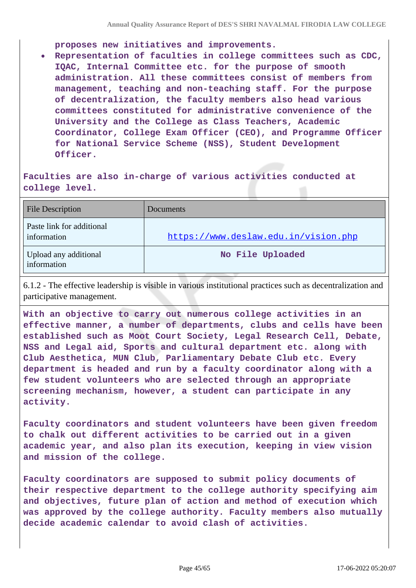**proposes new initiatives and improvements.**

**Representation of faculties in college committees such as CDC, IQAC, Internal Committee etc. for the purpose of smooth administration. All these committees consist of members from management, teaching and non-teaching staff. For the purpose of decentralization, the faculty members also head various committees constituted for administrative convenience of the University and the College as Class Teachers, Academic Coordinator, College Exam Officer (CEO), and Programme Officer for National Service Scheme (NSS), Student Development Officer.**

### **Faculties are also in-charge of various activities conducted at college level.**

| <b>File Description</b>                  | Documents                            |
|------------------------------------------|--------------------------------------|
| Paste link for additional<br>information | https://www.deslaw.edu.in/vision.php |
| Upload any additional<br>information     | No File Uploaded                     |

6.1.2 - The effective leadership is visible in various institutional practices such as decentralization and participative management.

**With an objective to carry out numerous college activities in an effective manner, a number of departments, clubs and cells have been established such as Moot Court Society, Legal Research Cell, Debate, NSS and Legal aid, Sports and cultural department etc. along with Club Aesthetica, MUN Club, Parliamentary Debate Club etc. Every department is headed and run by a faculty coordinator along with a few student volunteers who are selected through an appropriate screening mechanism, however, a student can participate in any activity.**

**Faculty coordinators and student volunteers have been given freedom to chalk out different activities to be carried out in a given academic year, and also plan its execution, keeping in view vision and mission of the college.**

**Faculty coordinators are supposed to submit policy documents of their respective department to the college authority specifying aim and objectives, future plan of action and method of execution which was approved by the college authority. Faculty members also mutually decide academic calendar to avoid clash of activities.**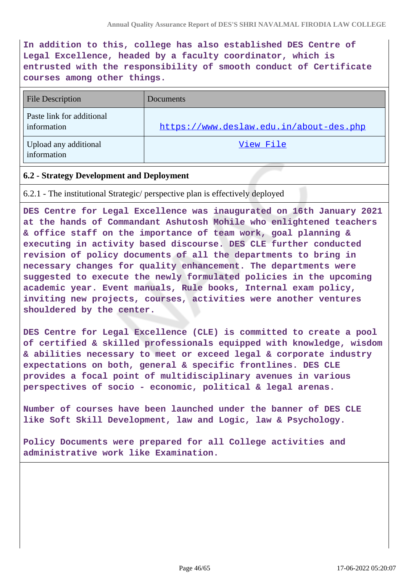**In addition to this, college has also established DES Centre of Legal Excellence, headed by a faculty coordinator, which is entrusted with the responsibility of smooth conduct of Certificate courses among other things.**

| <b>File Description</b>                  | <b>Documents</b>                        |
|------------------------------------------|-----------------------------------------|
| Paste link for additional<br>information | https://www.deslaw.edu.in/about-des.php |
| Upload any additional<br>information     | View File                               |

#### **6.2 - Strategy Development and Deployment**

6.2.1 - The institutional Strategic/ perspective plan is effectively deployed

**DES Centre for Legal Excellence was inaugurated on 16th January 2021 at the hands of Commandant Ashutosh Mohile who enlightened teachers & office staff on the importance of team work, goal planning & executing in activity based discourse. DES CLE further conducted revision of policy documents of all the departments to bring in necessary changes for quality enhancement. The departments were suggested to execute the newly formulated policies in the upcoming academic year. Event manuals, Rule books, Internal exam policy, inviting new projects, courses, activities were another ventures shouldered by the center.**

**DES Centre for Legal Excellence (CLE) is committed to create a pool of certified & skilled professionals equipped with knowledge, wisdom & abilities necessary to meet or exceed legal & corporate industry expectations on both, general & specific frontlines. DES CLE provides a focal point of multidisciplinary avenues in various perspectives of socio - economic, political & legal arenas.**

**Number of courses have been launched under the banner of DES CLE like Soft Skill Development, law and Logic, law & Psychology.**

**Policy Documents were prepared for all College activities and administrative work like Examination.**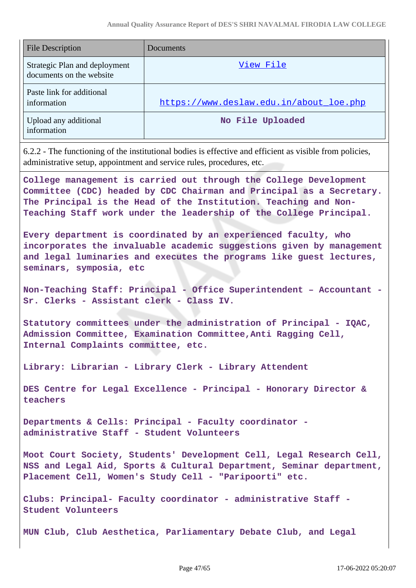| <b>File Description</b>                                   | Documents                               |
|-----------------------------------------------------------|-----------------------------------------|
| Strategic Plan and deployment<br>documents on the website | View File                               |
| Paste link for additional<br>information                  | https://www.deslaw.edu.in/about loe.php |
| Upload any additional<br>information                      | No File Uploaded                        |

6.2.2 - The functioning of the institutional bodies is effective and efficient as visible from policies, administrative setup, appointment and service rules, procedures, etc.

**College management is carried out through the College Development Committee (CDC) headed by CDC Chairman and Principal as a Secretary. The Principal is the Head of the Institution. Teaching and Non-Teaching Staff work under the leadership of the College Principal.**

**Every department is coordinated by an experienced faculty, who incorporates the invaluable academic suggestions given by management and legal luminaries and executes the programs like guest lectures, seminars, symposia, etc**

**Non-Teaching Staff: Principal - Office Superintendent – Accountant - Sr. Clerks - Assistant clerk - Class IV.**

**Statutory committees under the administration of Principal - IQAC, Admission Committee, Examination Committee,Anti Ragging Cell, Internal Complaints committee, etc.**

**Library: Librarian - Library Clerk - Library Attendent**

**DES Centre for Legal Excellence - Principal - Honorary Director & teachers**

**Departments & Cells: Principal - Faculty coordinator administrative Staff - Student Volunteers**

**Moot Court Society, Students' Development Cell, Legal Research Cell, NSS and Legal Aid, Sports & Cultural Department, Seminar department, Placement Cell, Women's Study Cell - "Paripoorti" etc.**

**Clubs: Principal- Faculty coordinator - administrative Staff - Student Volunteers**

**MUN Club, Club Aesthetica, Parliamentary Debate Club, and Legal**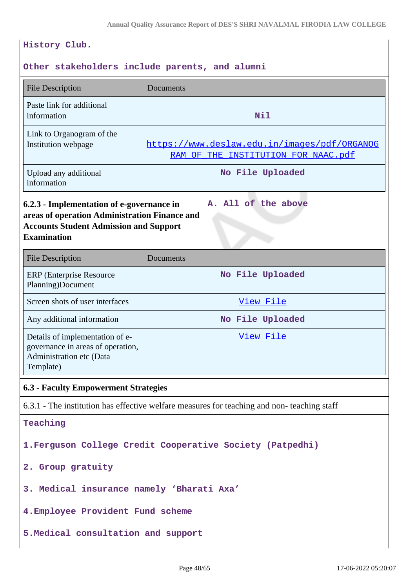### **History Club.**

### **Other stakeholders include parents, and alumni**

| <b>File Description</b>                                                                                                                                                                  | Documents                                                                                  |  |  |
|------------------------------------------------------------------------------------------------------------------------------------------------------------------------------------------|--------------------------------------------------------------------------------------------|--|--|
| Paste link for additional<br>information                                                                                                                                                 | Nil                                                                                        |  |  |
| Link to Organogram of the<br>Institution webpage                                                                                                                                         | https://www.deslaw.edu.in/images/pdf/ORGANOG<br>RAM OF THE INSTITUTION FOR NAAC.pdf        |  |  |
| Upload any additional<br>information                                                                                                                                                     | No File Uploaded                                                                           |  |  |
| A. All of the above<br>6.2.3 - Implementation of e-governance in<br>areas of operation Administration Finance and<br><b>Accounts Student Admission and Support</b><br><b>Examination</b> |                                                                                            |  |  |
| <b>File Description</b>                                                                                                                                                                  | Documents                                                                                  |  |  |
| <b>ERP</b> (Enterprise Resource<br>Planning)Document                                                                                                                                     | No File Uploaded                                                                           |  |  |
| Screen shots of user interfaces                                                                                                                                                          | View File                                                                                  |  |  |
| Any additional information                                                                                                                                                               | No File Uploaded                                                                           |  |  |
| Details of implementation of e-<br>governance in areas of operation,<br>Administration etc (Data<br>Template)                                                                            | View File                                                                                  |  |  |
| <b>6.3 - Faculty Empowerment Strategies</b>                                                                                                                                              |                                                                                            |  |  |
|                                                                                                                                                                                          | 6.3.1 - The institution has effective welfare measures for teaching and non-teaching staff |  |  |
| Teaching                                                                                                                                                                                 |                                                                                            |  |  |
| 1. Ferguson College Credit Cooperative Society (Patpedhi)                                                                                                                                |                                                                                            |  |  |
| 2. Group gratuity                                                                                                                                                                        |                                                                                            |  |  |
| 3. Medical insurance namely 'Bharati Axa'                                                                                                                                                |                                                                                            |  |  |
| 4. Employee Provident Fund scheme                                                                                                                                                        |                                                                                            |  |  |
| 5. Medical consultation and support                                                                                                                                                      |                                                                                            |  |  |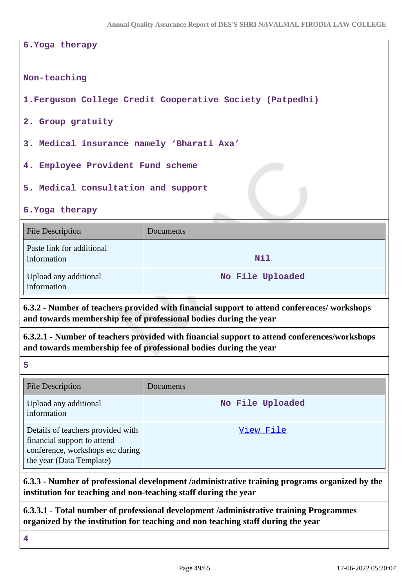#### **6.Yoga therapy**

#### **Non-teaching**

**1.Ferguson College Credit Cooperative Society (Patpedhi)**

**2. Group gratuity**

**3. Medical insurance namely 'Bharati Axa'**

**4. Employee Provident Fund scheme**

**5. Medical consultation and support**

**6.Yoga therapy**

| <b>File Description</b>                  | Documents        |
|------------------------------------------|------------------|
| Paste link for additional<br>information | Nil              |
| Upload any additional<br>information     | No File Uploaded |

**6.3.2 - Number of teachers provided with financial support to attend conferences/ workshops and towards membership fee of professional bodies during the year**

**6.3.2.1 - Number of teachers provided with financial support to attend conferences/workshops and towards membership fee of professional bodies during the year**

**5**

| <b>File Description</b>                                                                                                          | <b>Documents</b> |
|----------------------------------------------------------------------------------------------------------------------------------|------------------|
| Upload any additional<br>information                                                                                             | No File Uploaded |
| Details of teachers provided with<br>financial support to attend<br>conference, workshops etc during<br>the year (Data Template) | View File        |

**6.3.3 - Number of professional development /administrative training programs organized by the institution for teaching and non-teaching staff during the year**

**6.3.3.1 - Total number of professional development /administrative training Programmes organized by the institution for teaching and non teaching staff during the year**

**4**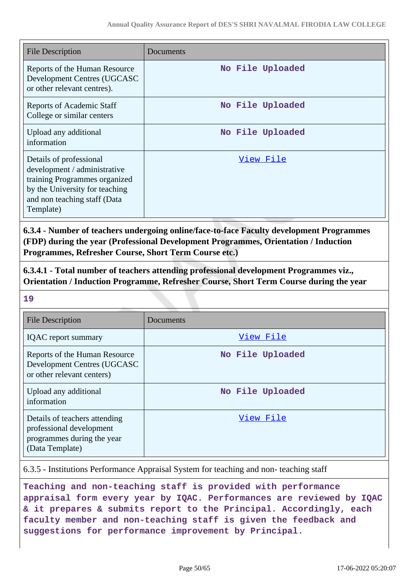| <b>File Description</b>                                                                                                                                                 | Documents        |
|-------------------------------------------------------------------------------------------------------------------------------------------------------------------------|------------------|
| Reports of the Human Resource<br>Development Centres (UGCASC<br>or other relevant centres).                                                                             | No File Uploaded |
| <b>Reports of Academic Staff</b><br>College or similar centers                                                                                                          | No File Uploaded |
| Upload any additional<br>information                                                                                                                                    | No File Uploaded |
| Details of professional<br>development / administrative<br>training Programmes organized<br>by the University for teaching<br>and non teaching staff (Data<br>Template) | View File        |

**6.3.4 - Number of teachers undergoing online/face-to-face Faculty development Programmes (FDP) during the year (Professional Development Programmes, Orientation / Induction Programmes, Refresher Course, Short Term Course etc.)**

**6.3.4.1 - Total number of teachers attending professional development Programmes viz., Orientation / Induction Programme, Refresher Course, Short Term Course during the year**

**19**

| <b>File Description</b>                                                                                    | Documents        |
|------------------------------------------------------------------------------------------------------------|------------------|
| <b>IQAC</b> report summary                                                                                 | View File        |
| Reports of the Human Resource<br>Development Centres (UGCASC<br>or other relevant centers)                 | No File Uploaded |
| Upload any additional<br>information                                                                       | No File Uploaded |
| Details of teachers attending<br>professional development<br>programmes during the year<br>(Data Template) | View File        |

6.3.5 - Institutions Performance Appraisal System for teaching and non- teaching staff

**Teaching and non-teaching staff is provided with performance appraisal form every year by IQAC. Performances are reviewed by IQAC & it prepares & submits report to the Principal. Accordingly, each faculty member and non-teaching staff is given the feedback and suggestions for performance improvement by Principal.**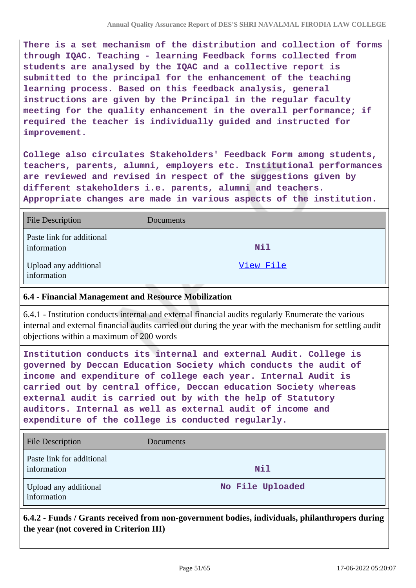**There is a set mechanism of the distribution and collection of forms through IQAC. Teaching - learning Feedback forms collected from students are analysed by the IQAC and a collective report is submitted to the principal for the enhancement of the teaching learning process. Based on this feedback analysis, general instructions are given by the Principal in the regular faculty meeting for the quality enhancement in the overall performance; if required the teacher is individually guided and instructed for improvement.**

**College also circulates Stakeholders' Feedback Form among students, teachers, parents, alumni, employers etc. Institutional performances are reviewed and revised in respect of the suggestions given by different stakeholders i.e. parents, alumni and teachers. Appropriate changes are made in various aspects of the institution.**

| <b>File Description</b>                  | <b>Documents</b> |
|------------------------------------------|------------------|
| Paste link for additional<br>information | Nil              |
| Upload any additional<br>information     | View File        |

### **6.4 - Financial Management and Resource Mobilization**

6.4.1 - Institution conducts internal and external financial audits regularly Enumerate the various internal and external financial audits carried out during the year with the mechanism for settling audit objections within a maximum of 200 words

**Institution conducts its internal and external Audit. College is governed by Deccan Education Society which conducts the audit of income and expenditure of college each year. Internal Audit is carried out by central office, Deccan education Society whereas external audit is carried out by with the help of Statutory auditors. Internal as well as external audit of income and expenditure of the college is conducted regularly.**

| <b>File Description</b>                  | Documents        |
|------------------------------------------|------------------|
| Paste link for additional<br>information | Nil              |
| Upload any additional<br>information     | No File Uploaded |

**6.4.2 - Funds / Grants received from non-government bodies, individuals, philanthropers during the year (not covered in Criterion III)**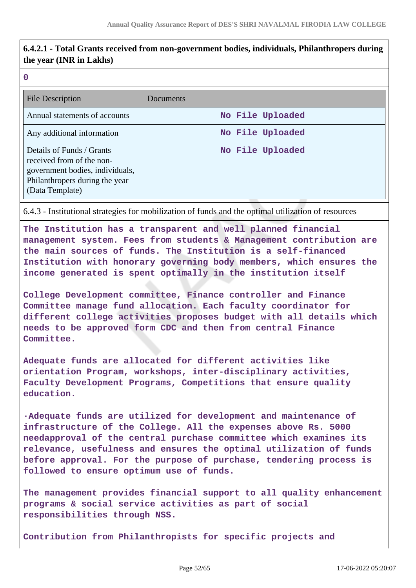# **6.4.2.1 - Total Grants received from non-government bodies, individuals, Philanthropers during the year (INR in Lakhs)**

**0**

| <b>File Description</b>                                                                                                                        | Documents        |
|------------------------------------------------------------------------------------------------------------------------------------------------|------------------|
| Annual statements of accounts                                                                                                                  | No File Uploaded |
| Any additional information                                                                                                                     | No File Uploaded |
| Details of Funds / Grants<br>received from of the non-<br>government bodies, individuals,<br>Philanthropers during the year<br>(Data Template) | No File Uploaded |

6.4.3 - Institutional strategies for mobilization of funds and the optimal utilization of resources

**The Institution has a transparent and well planned financial management system. Fees from students & Management contribution are the main sources of funds. The Institution is a self-financed Institution with honorary governing body members, which ensures the income generated is spent optimally in the institution itself**

**College Development committee, Finance controller and Finance Committee manage fund allocation. Each faculty coordinator for different college activities proposes budget with all details which needs to be approved form CDC and then from central Finance Committee.**

**Adequate funds are allocated for different activities like orientation Program, workshops, inter-disciplinary activities, Faculty Development Programs, Competitions that ensure quality education.**

**·Adequate funds are utilized for development and maintenance of infrastructure of the College. All the expenses above Rs. 5000 needapproval of the central purchase committee which examines its relevance, usefulness and ensures the optimal utilization of funds before approval. For the purpose of purchase, tendering process is followed to ensure optimum use of funds.**

**The management provides financial support to all quality enhancement programs & social service activities as part of social responsibilities through NSS.**

**Contribution from Philanthropists for specific projects and**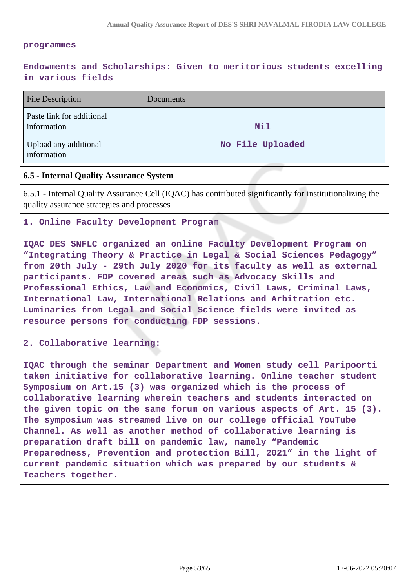#### **programmes**

# **Endowments and Scholarships: Given to meritorious students excelling in various fields**

| <b>File Description</b>                  | Documents        |
|------------------------------------------|------------------|
| Paste link for additional<br>information | Nil              |
| Upload any additional<br>information     | No File Uploaded |

#### **6.5 - Internal Quality Assurance System**

6.5.1 - Internal Quality Assurance Cell (IQAC) has contributed significantly for institutionalizing the quality assurance strategies and processes

#### **1. Online Faculty Development Program**

**IQAC DES SNFLC organized an online Faculty Development Program on "Integrating Theory & Practice in Legal & Social Sciences Pedagogy" from 20th July - 29th July 2020 for its faculty as well as external participants. FDP covered areas such as Advocacy Skills and Professional Ethics, Law and Economics, Civil Laws, Criminal Laws, International Law, International Relations and Arbitration etc. Luminaries from Legal and Social Science fields were invited as resource persons for conducting FDP sessions.**

#### **2. Collaborative learning:**

**IQAC through the seminar Department and Women study cell Paripoorti taken initiative for collaborative learning. Online teacher student Symposium on Art.15 (3) was organized which is the process of collaborative learning wherein teachers and students interacted on the given topic on the same forum on various aspects of Art. 15 (3). The symposium was streamed live on our college official YouTube Channel. As well as another method of collaborative learning is preparation draft bill on pandemic law, namely "Pandemic Preparedness, Prevention and protection Bill, 2021" in the light of current pandemic situation which was prepared by our students & Teachers together.**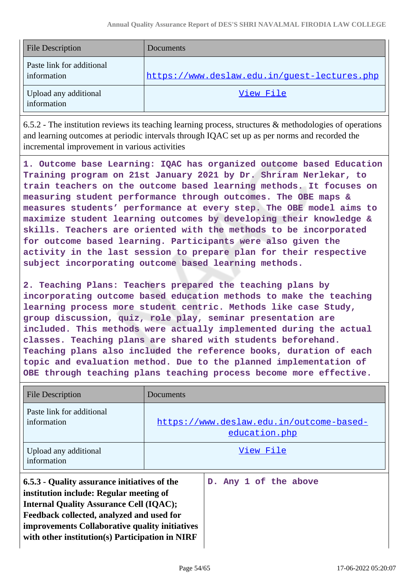| <b>File Description</b>                  | Documents                                    |  |  |
|------------------------------------------|----------------------------------------------|--|--|
| Paste link for additional<br>information | https://www.deslaw.edu.in/guest-lectures.php |  |  |
| Upload any additional<br>information     | View File                                    |  |  |

6.5.2 - The institution reviews its teaching learning process, structures & methodologies of operations and learning outcomes at periodic intervals through IQAC set up as per norms and recorded the incremental improvement in various activities

**1. Outcome base Learning: IQAC has organized outcome based Education Training program on 21st January 2021 by Dr. Shriram Nerlekar, to train teachers on the outcome based learning methods. It focuses on measuring student performance through outcomes. The OBE maps & measures students' performance at every step. The OBE model aims to maximize student learning outcomes by developing their knowledge & skills. Teachers are oriented with the methods to be incorporated for outcome based learning. Participants were also given the activity in the last session to prepare plan for their respective subject incorporating outcome based learning methods.**

**2. Teaching Plans: Teachers prepared the teaching plans by incorporating outcome based education methods to make the teaching learning process more student centric. Methods like case Study, group discussion, quiz, role play, seminar presentation are included. This methods were actually implemented during the actual classes. Teaching plans are shared with students beforehand. Teaching plans also included the reference books, duration of each topic and evaluation method. Due to the planned implementation of OBE through teaching plans teaching process become more effective.**

| <b>File Description</b>                                                                                                                                                                                                                                                                     | Documents                                                 |                       |
|---------------------------------------------------------------------------------------------------------------------------------------------------------------------------------------------------------------------------------------------------------------------------------------------|-----------------------------------------------------------|-----------------------|
| Paste link for additional<br>information                                                                                                                                                                                                                                                    | https://www.deslaw.edu.in/outcome-based-<br>education.php |                       |
| Upload any additional<br>information                                                                                                                                                                                                                                                        | View File                                                 |                       |
| 6.5.3 - Quality assurance initiatives of the<br>institution include: Regular meeting of<br><b>Internal Quality Assurance Cell (IQAC);</b><br>Feedback collected, analyzed and used for<br>improvements Collaborative quality initiatives<br>with other institution(s) Participation in NIRF |                                                           | D. Any 1 of the above |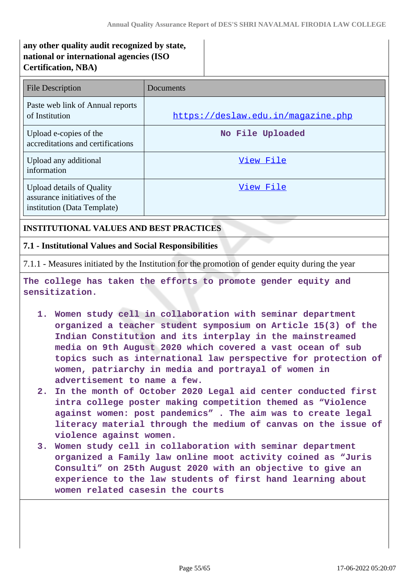# **any other quality audit recognized by state, national or international agencies (ISO Certification, NBA)**

| File Description                                                                                | Documents                          |
|-------------------------------------------------------------------------------------------------|------------------------------------|
| Paste web link of Annual reports<br>of Institution                                              | https://deslaw.edu.in/magazine.php |
| Upload e-copies of the<br>accreditations and certifications                                     | No File Uploaded                   |
| Upload any additional<br>information                                                            | View File                          |
| <b>Upload details of Quality</b><br>assurance initiatives of the<br>institution (Data Template) | View File                          |

### **INSTITUTIONAL VALUES AND BEST PRACTICES**

#### **7.1 - Institutional Values and Social Responsibilities**

7.1.1 - Measures initiated by the Institution for the promotion of gender equity during the year

**The college has taken the efforts to promote gender equity and sensitization.**

- **1. Women study cell in collaboration with seminar department organized a teacher student symposium on Article 15(3) of the Indian Constitution and its interplay in the mainstreamed media on 9th August 2020 which covered a vast ocean of sub topics such as international law perspective for protection of women, patriarchy in media and portrayal of women in advertisement to name a few.**
- **2. In the month of October 2020 Legal aid center conducted first intra college poster making competition themed as "Violence against women: post pandemics" . The aim was to create legal literacy material through the medium of canvas on the issue of violence against women.**
- **3. Women study cell in collaboration with seminar department organized a Family law online moot activity coined as "Juris Consulti" on 25th August 2020 with an objective to give an experience to the law students of first hand learning about women related casesin the courts**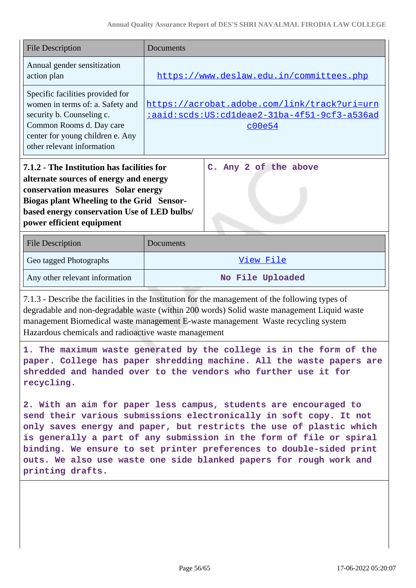| <b>File Description</b>                                                                                                                                                                                                                                                                                                                                                                                                                               | Documents                                                                                              |  |
|-------------------------------------------------------------------------------------------------------------------------------------------------------------------------------------------------------------------------------------------------------------------------------------------------------------------------------------------------------------------------------------------------------------------------------------------------------|--------------------------------------------------------------------------------------------------------|--|
| Annual gender sensitization<br>action plan                                                                                                                                                                                                                                                                                                                                                                                                            | https://www.deslaw.edu.in/committees.php                                                               |  |
| Specific facilities provided for<br>women in terms of: a. Safety and<br>security b. Counseling c.<br>Common Rooms d. Day care<br>center for young children e. Any<br>other relevant information                                                                                                                                                                                                                                                       | https://acrobat.adobe.com/link/track?uri=urn<br>iaaid:scds:US:cd1deae2-31ba-4f51-9cf3-a536ad<br>c00e54 |  |
| 7.1.2 - The Institution has facilities for<br>alternate sources of energy and energy<br>conservation measures Solar energy<br><b>Biogas plant Wheeling to the Grid Sensor-</b><br>based energy conservation Use of LED bulbs/<br>power efficient equipment                                                                                                                                                                                            | C. Any 2 of the above                                                                                  |  |
| <b>File Description</b>                                                                                                                                                                                                                                                                                                                                                                                                                               | Documents                                                                                              |  |
| Geo tagged Photographs                                                                                                                                                                                                                                                                                                                                                                                                                                | View File                                                                                              |  |
| Any other relevant information                                                                                                                                                                                                                                                                                                                                                                                                                        | No File Uploaded                                                                                       |  |
| 7.1.3 - Describe the facilities in the Institution for the management of the following types of<br>degradable and non-degradable waste (within 200 words) Solid waste management Liquid waste<br>management Biomedical waste management E-waste management Waste recycling system<br>Hazardous chemicals and radioactive waste management                                                                                                             |                                                                                                        |  |
| 1. The maximum waste generated by the college is in the form of the<br>paper. College has paper shredding machine. All the waste papers are<br>shredded and handed over to the vendors who further use it for<br>recycling.                                                                                                                                                                                                                           |                                                                                                        |  |
| 2. With an aim for paper less campus, students are encouraged to<br>send their various submissions electronically in soft copy. It not<br>only saves energy and paper, but restricts the use of plastic which<br>is generally a part of any submission in the form of file or spiral<br>binding. We ensure to set printer preferences to double-sided print<br>outs. We also use waste one side blanked papers for rough work and<br>printing drafts. |                                                                                                        |  |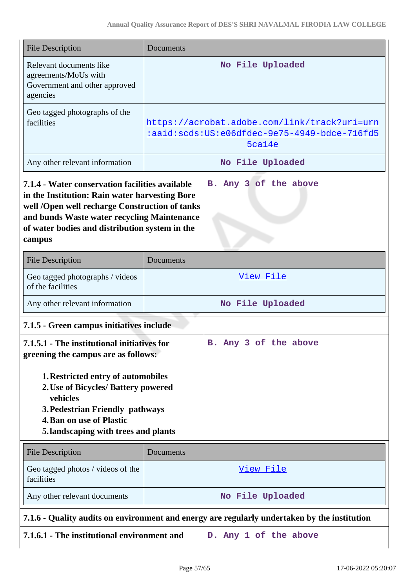| <b>File Description</b>                                                                                                                                                                                                                                        | Documents                                                                                    |                                                                                                              |
|----------------------------------------------------------------------------------------------------------------------------------------------------------------------------------------------------------------------------------------------------------------|----------------------------------------------------------------------------------------------|--------------------------------------------------------------------------------------------------------------|
| Relevant documents like<br>agreements/MoUs with<br>Government and other approved<br>agencies                                                                                                                                                                   |                                                                                              | No File Uploaded                                                                                             |
| Geo tagged photographs of the<br>facilities                                                                                                                                                                                                                    |                                                                                              | https://acrobat.adobe.com/link/track?uri=urn<br>:aaid:scds:US:e06dfdec-9e75-4949-bdce-716fd5<br>$5$ ca $14e$ |
| Any other relevant information                                                                                                                                                                                                                                 |                                                                                              | No File Uploaded                                                                                             |
| 7.1.4 - Water conservation facilities available<br>in the Institution: Rain water harvesting Bore<br>well /Open well recharge Construction of tanks<br>and bunds Waste water recycling Maintenance<br>of water bodies and distribution system in the<br>campus |                                                                                              | B. Any 3 of the above                                                                                        |
| <b>File Description</b>                                                                                                                                                                                                                                        | Documents                                                                                    |                                                                                                              |
| Geo tagged photographs / videos<br>of the facilities                                                                                                                                                                                                           |                                                                                              | View File                                                                                                    |
| Any other relevant information                                                                                                                                                                                                                                 |                                                                                              | No File Uploaded                                                                                             |
| 7.1.5 - Green campus initiatives include                                                                                                                                                                                                                       |                                                                                              |                                                                                                              |
| 7.1.5.1 - The institutional initiatives for<br>greening the campus are as follows:                                                                                                                                                                             |                                                                                              | B. Any 3 of the above                                                                                        |
| 1. Restricted entry of automobiles<br>2. Use of Bicycles/ Battery powered<br>vehicles<br>3. Pedestrian Friendly pathways<br><b>4. Ban on use of Plastic</b><br>5. landscaping with trees and plants                                                            |                                                                                              |                                                                                                              |
| <b>File Description</b>                                                                                                                                                                                                                                        | Documents                                                                                    |                                                                                                              |
| Geo tagged photos / videos of the<br>facilities                                                                                                                                                                                                                |                                                                                              | View File                                                                                                    |
| Any other relevant documents                                                                                                                                                                                                                                   |                                                                                              | No File Uploaded                                                                                             |
|                                                                                                                                                                                                                                                                | 7.1.6 - Quality audits on environment and energy are regularly undertaken by the institution |                                                                                                              |
| 7.1.6.1 - The institutional environment and                                                                                                                                                                                                                    |                                                                                              | D. Any 1 of the above                                                                                        |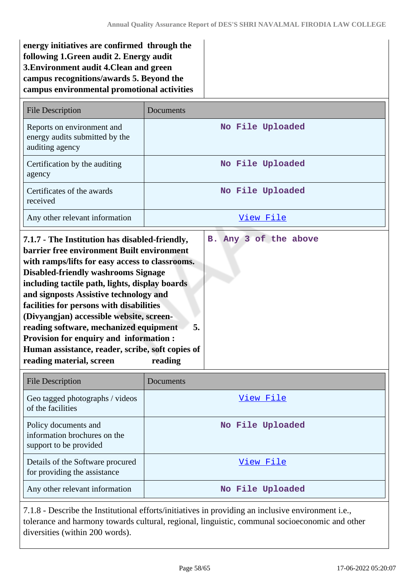| energy initiatives are confirmed through the |
|----------------------------------------------|
| following 1. Green audit 2. Energy audit     |
| 3. Environment audit 4. Clean and green      |
| campus recognitions/awards 5. Beyond the     |
| campus environmental promotional activities  |

| <b>File Description</b>                                                         | Documents        |
|---------------------------------------------------------------------------------|------------------|
| Reports on environment and<br>energy audits submitted by the<br>auditing agency | No File Uploaded |
| Certification by the auditing<br>agency                                         | No File Uploaded |
| Certificates of the awards<br>received                                          | No File Uploaded |
| Any other relevant information                                                  | View File        |

| 7.1.7 - The Institution has disabled-friendly,<br>barrier free environment Built environment<br>with ramps/lifts for easy access to classrooms.<br><b>Disabled-friendly washrooms Signage</b><br>including tactile path, lights, display boards<br>and signposts Assistive technology and<br>facilities for persons with disabilities<br>(Divyangjan) accessible website, screen- | B. Any 3 of the above |
|-----------------------------------------------------------------------------------------------------------------------------------------------------------------------------------------------------------------------------------------------------------------------------------------------------------------------------------------------------------------------------------|-----------------------|
| reading software, mechanized equipment<br>5.                                                                                                                                                                                                                                                                                                                                      |                       |
| <b>Provision for enquiry and information:</b>                                                                                                                                                                                                                                                                                                                                     |                       |
| Human assistance, reader, scribe, soft copies of<br>reading material, screen<br>reading                                                                                                                                                                                                                                                                                           |                       |

| <b>File Description</b>                                                        | Documents        |
|--------------------------------------------------------------------------------|------------------|
| Geo tagged photographs / videos<br>of the facilities                           | View File        |
| Policy documents and<br>information brochures on the<br>support to be provided | No File Uploaded |
| Details of the Software procured<br>for providing the assistance               | View File        |
| Any other relevant information                                                 | No File Uploaded |

7.1.8 - Describe the Institutional efforts/initiatives in providing an inclusive environment i.e., tolerance and harmony towards cultural, regional, linguistic, communal socioeconomic and other diversities (within 200 words).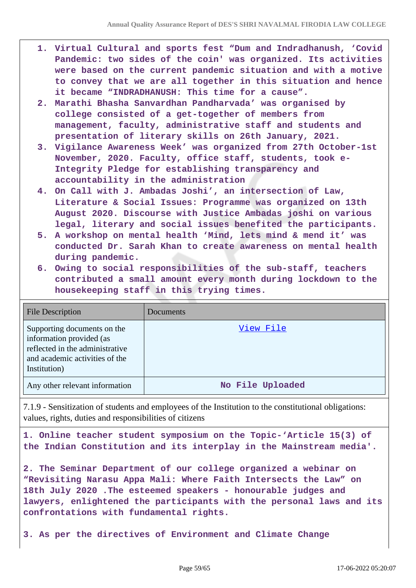- **1. Virtual Cultural and sports fest "Dum and Indradhanush, 'Covid Pandemic: two sides of the coin' was organized. Its activities were based on the current pandemic situation and with a motive to convey that we are all together in this situation and hence it became "INDRADHANUSH: This time for a cause".**
- **2. Marathi Bhasha Sanvardhan Pandharvada' was organised by college consisted of a get-together of members from management, faculty, administrative staff and students and presentation of literary skills on 26th January, 2021.**
- **3. Vigilance Awareness Week' was organized from 27th October-1st November, 2020. Faculty, office staff, students, took e-Integrity Pledge for establishing transparency and accountability in the administration**
- **4. On Call with J. Ambadas Joshi', an intersection of Law, Literature & Social Issues: Programme was organized on 13th August 2020. Discourse with Justice Ambadas joshi on various legal, literary and social issues benefited the participants.**
- **5. A workshop on mental health 'Mind, lets mind & mend it' was conducted Dr. Sarah Khan to create awareness on mental health during pandemic.**
- **6. Owing to social responsibilities of the sub-staff, teachers contributed a small amount every month during lockdown to the housekeeping staff in this trying times.**

| <b>File Description</b>                                                                                                                      | Documents        |
|----------------------------------------------------------------------------------------------------------------------------------------------|------------------|
| Supporting documents on the<br>information provided (as<br>reflected in the administrative<br>and academic activities of the<br>Institution) | View File        |
| Any other relevant information                                                                                                               | No File Uploaded |

7.1.9 - Sensitization of students and employees of the Institution to the constitutional obligations: values, rights, duties and responsibilities of citizens

**1. Online teacher student symposium on the Topic-'Article 15(3) of the Indian Constitution and its interplay in the Mainstream media'.**

**2. The Seminar Department of our college organized a webinar on "Revisiting Narasu Appa Mali: Where Faith Intersects the Law" on 18th July 2020 .The esteemed speakers - honourable judges and lawyers, enlightened the participants with the personal laws and its confrontations with fundamental rights.**

**3. As per the directives of Environment and Climate Change**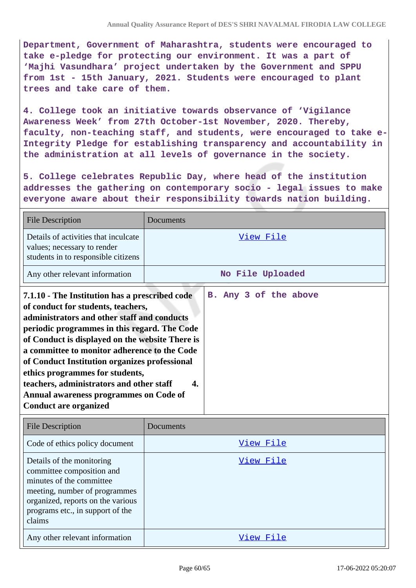**Department, Government of Maharashtra, students were encouraged to take e-pledge for protecting our environment. It was a part of 'Majhi Vasundhara' project undertaken by the Government and SPPU from 1st - 15th January, 2021. Students were encouraged to plant trees and take care of them.**

**4. College took an initiative towards observance of 'Vigilance Awareness Week' from 27th October-1st November, 2020. Thereby, faculty, non-teaching staff, and students, were encouraged to take e-Integrity Pledge for establishing transparency and accountability in the administration at all levels of governance in the society.**

**5. College celebrates Republic Day, where head of the institution addresses the gathering on contemporary socio - legal issues to make everyone aware about their responsibility towards nation building.**

| <b>File Description</b>                                                                                                                                                                                                                                                                                                                                                                                                                                                                          | Documents    |                       |
|--------------------------------------------------------------------------------------------------------------------------------------------------------------------------------------------------------------------------------------------------------------------------------------------------------------------------------------------------------------------------------------------------------------------------------------------------------------------------------------------------|--------------|-----------------------|
| Details of activities that inculcate<br>values; necessary to render<br>students in to responsible citizens                                                                                                                                                                                                                                                                                                                                                                                       |              | View File             |
| Any other relevant information                                                                                                                                                                                                                                                                                                                                                                                                                                                                   |              | No File Uploaded      |
| 7.1.10 - The Institution has a prescribed code<br>of conduct for students, teachers,<br>administrators and other staff and conducts<br>periodic programmes in this regard. The Code<br>of Conduct is displayed on the website There is<br>a committee to monitor adherence to the Code<br>of Conduct Institution organizes professional<br>ethics programmes for students,<br>teachers, administrators and other staff<br>Annual awareness programmes on Code of<br><b>Conduct are organized</b> | $\mathbf{4}$ | B. Any 3 of the above |
|                                                                                                                                                                                                                                                                                                                                                                                                                                                                                                  |              |                       |

| <b>File Description</b>                                                                                                                                                                                | Documents |
|--------------------------------------------------------------------------------------------------------------------------------------------------------------------------------------------------------|-----------|
| Code of ethics policy document                                                                                                                                                                         | View File |
| Details of the monitoring<br>committee composition and<br>minutes of the committee<br>meeting, number of programmes<br>organized, reports on the various<br>programs etc., in support of the<br>claims | View File |
| Any other relevant information                                                                                                                                                                         | View File |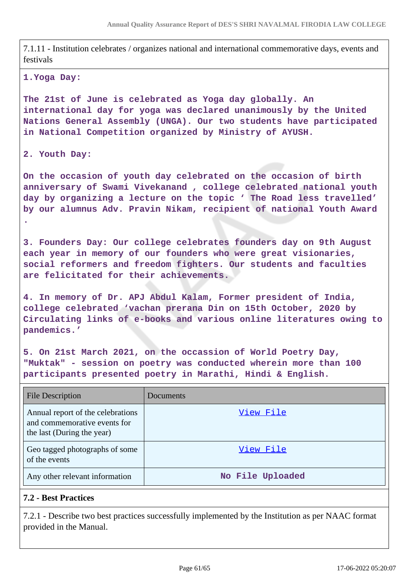7.1.11 - Institution celebrates / organizes national and international commemorative days, events and festivals

#### **1.Yoga Day:**

**The 21st of June is celebrated as Yoga day globally. An international day for yoga was declared unanimously by the United Nations General Assembly (UNGA). Our two students have participated in National Competition organized by Ministry of AYUSH.**

#### **2. Youth Day:**

**On the occasion of youth day celebrated on the occasion of birth anniversary of Swami Vivekanand , college celebrated national youth day by organizing a lecture on the topic ' The Road less travelled' by our alumnus Adv. Pravin Nikam, recipient of national Youth Award .**

**3. Founders Day: Our college celebrates founders day on 9th August each year in memory of our founders who were great visionaries, social reformers and freedom fighters. Our students and faculties are felicitated for their achievements.**

**4. In memory of Dr. APJ Abdul Kalam, Former president of India, college celebrated 'vachan prerana Din on 15th October, 2020 by Circulating links of e-books and various online literatures owing to pandemics.'**

**5. On 21st March 2021, on the occassion of World Poetry Day, "Muktak" - session on poetry was conducted wherein more than 100 participants presented poetry in Marathi, Hindi & English.**

| <b>File Description</b>                                                                         | Documents        |
|-------------------------------------------------------------------------------------------------|------------------|
| Annual report of the celebrations<br>and commemorative events for<br>the last (During the year) | View File        |
| Geo tagged photographs of some<br>of the events                                                 | View File        |
| Any other relevant information                                                                  | No File Uploaded |

#### **7.2 - Best Practices**

7.2.1 - Describe two best practices successfully implemented by the Institution as per NAAC format provided in the Manual.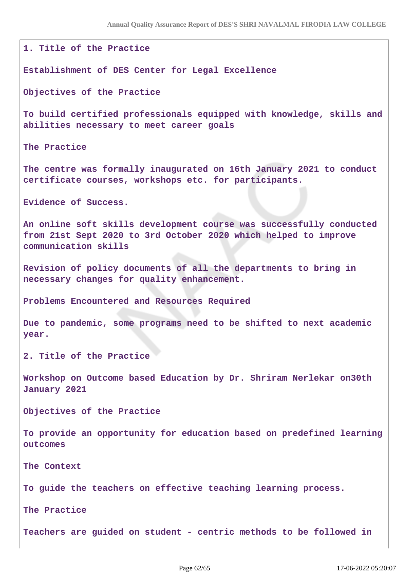**1. Title of the Practice Establishment of DES Center for Legal Excellence Objectives of the Practice To build certified professionals equipped with knowledge, skills and abilities necessary to meet career goals The Practice The centre was formally inaugurated on 16th January 2021 to conduct certificate courses, workshops etc. for participants. Evidence of Success. An online soft skills development course was successfully conducted from 21st Sept 2020 to 3rd October 2020 which helped to improve communication skills Revision of policy documents of all the departments to bring in necessary changes for quality enhancement. Problems Encountered and Resources Required Due to pandemic, some programs need to be shifted to next academic year. 2. Title of the Practice Workshop on Outcome based Education by Dr. Shriram Nerlekar on30th January 2021 Objectives of the Practice To provide an opportunity for education based on predefined learning outcomes The Context To guide the teachers on effective teaching learning process. The Practice Teachers are guided on student - centric methods to be followed in**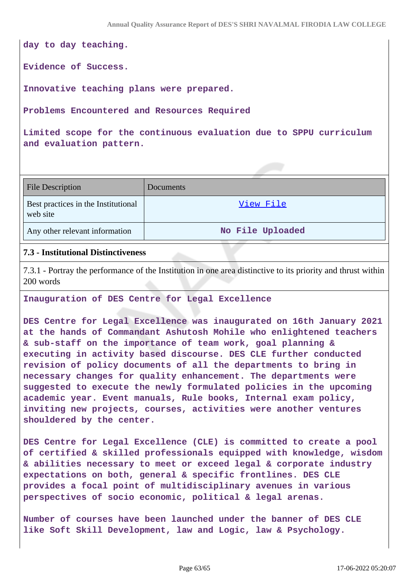**day to day teaching.**

**Evidence of Success.**

**Innovative teaching plans were prepared.**

**Problems Encountered and Resources Required**

**Limited scope for the continuous evaluation due to SPPU curriculum and evaluation pattern.**

| <b>File Description</b>                         | Documents        |
|-------------------------------------------------|------------------|
| Best practices in the Institutional<br>web site | View File        |
| Any other relevant information                  | No File Uploaded |

#### **7.3 - Institutional Distinctiveness**

7.3.1 - Portray the performance of the Institution in one area distinctive to its priority and thrust within 200 words

#### **Inauguration of DES Centre for Legal Excellence**

**DES Centre for Legal Excellence was inaugurated on 16th January 2021 at the hands of Commandant Ashutosh Mohile who enlightened teachers & sub-staff on the importance of team work, goal planning & executing in activity based discourse. DES CLE further conducted revision of policy documents of all the departments to bring in necessary changes for quality enhancement. The departments were suggested to execute the newly formulated policies in the upcoming academic year. Event manuals, Rule books, Internal exam policy, inviting new projects, courses, activities were another ventures shouldered by the center.**

**DES Centre for Legal Excellence (CLE) is committed to create a pool of certified & skilled professionals equipped with knowledge, wisdom & abilities necessary to meet or exceed legal & corporate industry expectations on both, general & specific frontlines. DES CLE provides a focal point of multidisciplinary avenues in various perspectives of socio economic, political & legal arenas.**

**Number of courses have been launched under the banner of DES CLE like Soft Skill Development, law and Logic, law & Psychology.**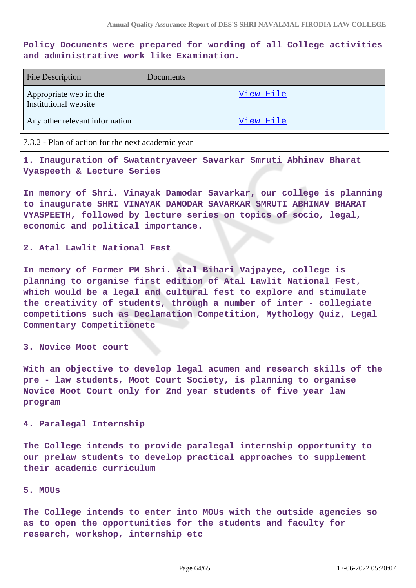**Policy Documents were prepared for wording of all College activities and administrative work like Examination.**

| <b>File Description</b>                         | Documents |
|-------------------------------------------------|-----------|
| Appropriate web in the<br>Institutional website | View File |
| Any other relevant information                  | View File |

7.3.2 - Plan of action for the next academic year

**1. Inauguration of Swatantryaveer Savarkar Smruti Abhinav Bharat Vyaspeeth & Lecture Series**

**In memory of Shri. Vinayak Damodar Savarkar, our college is planning to inaugurate SHRI VINAYAK DAMODAR SAVARKAR SMRUTI ABHINAV BHARAT VYASPEETH, followed by lecture series on topics of socio, legal, economic and political importance.**

**2. Atal Lawlit National Fest**

**In memory of Former PM Shri. Atal Bihari Vajpayee, college is planning to organise first edition of Atal Lawlit National Fest, which would be a legal and cultural fest to explore and stimulate the creativity of students, through a number of inter - collegiate competitions such as Declamation Competition, Mythology Quiz, Legal Commentary Competitionetc**

**3. Novice Moot court**

**With an objective to develop legal acumen and research skills of the pre - law students, Moot Court Society, is planning to organise Novice Moot Court only for 2nd year students of five year law program**

#### **4. Paralegal Internship**

**The College intends to provide paralegal internship opportunity to our prelaw students to develop practical approaches to supplement their academic curriculum**

#### **5. MOUs**

**The College intends to enter into MOUs with the outside agencies so as to open the opportunities for the students and faculty for research, workshop, internship etc**